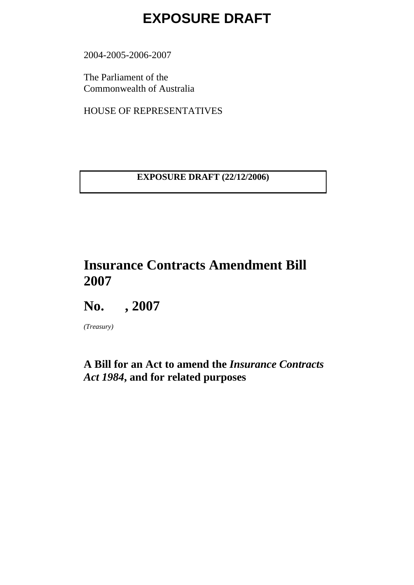2004-2005-2006-2007

The Parliament of the Commonwealth of Australia

HOUSE OF REPRESENTATIVES

**EXPOSURE DRAFT (22/12/2006)** 

### **Insurance Contracts Amendment Bill 2007**

**No. , 2007** 

*(Treasury)* 

### **A Bill for an Act to amend the** *Insurance Contracts Act 1984***, and for related purposes**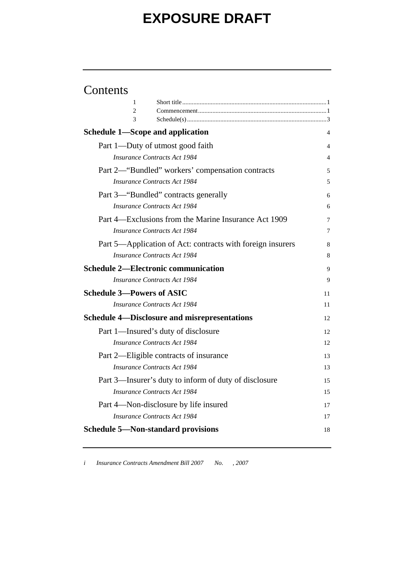### Contents

| $\mathbf{1}$                                               |                |  |  |
|------------------------------------------------------------|----------------|--|--|
| 2                                                          |                |  |  |
| 3                                                          |                |  |  |
| <b>Schedule 1—Scope and application</b>                    | $\overline{4}$ |  |  |
| Part 1—Duty of utmost good faith                           | 4              |  |  |
| <b>Insurance Contracts Act 1984</b>                        | 4              |  |  |
| Part 2—"Bundled" workers' compensation contracts           | 5              |  |  |
| <b>Insurance Contracts Act 1984</b>                        | 5              |  |  |
| Part 3—"Bundled" contracts generally                       | 6              |  |  |
| <b>Insurance Contracts Act 1984</b>                        | 6              |  |  |
| Part 4—Exclusions from the Marine Insurance Act 1909       | 7              |  |  |
| Insurance Contracts Act 1984                               | 7              |  |  |
| Part 5—Application of Act: contracts with foreign insurers | 8              |  |  |
| <b>Insurance Contracts Act 1984</b>                        | 8              |  |  |
| <b>Schedule 2—Electronic communication</b>                 | 9              |  |  |
| <b>Insurance Contracts Act 1984</b>                        | 9              |  |  |
| <b>Schedule 3-Powers of ASIC</b>                           | 11             |  |  |
| <b>Insurance Contracts Act 1984</b>                        | 11             |  |  |
| <b>Schedule 4-Disclosure and misrepresentations</b>        | 12             |  |  |
| Part 1—Insured's duty of disclosure                        | 12             |  |  |
| Insurance Contracts Act 1984                               | 12.            |  |  |
| Part 2—Eligible contracts of insurance                     | 13             |  |  |
| Insurance Contracts Act 1984                               | 13             |  |  |
| Part 3—Insurer's duty to inform of duty of disclosure      | 15             |  |  |
| <b>Insurance Contracts Act 1984</b>                        | 15             |  |  |
| Part 4—Non-disclosure by life insured                      | 17             |  |  |
| <b>Insurance Contracts Act 1984</b>                        | 17             |  |  |
| <b>Schedule 5-Non-standard provisions</b><br>18            |                |  |  |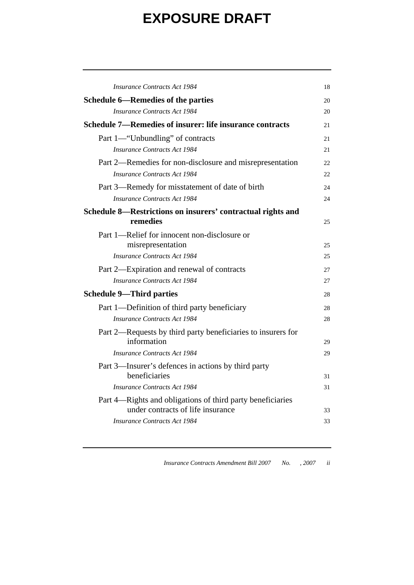| <i>Insurance Contracts Act 1984</i>                                  | 18  |
|----------------------------------------------------------------------|-----|
| <b>Schedule 6—Remedies of the parties</b>                            | 20  |
| <b>Insurance Contracts Act 1984</b>                                  | 20  |
| <b>Schedule 7—Remedies of insurer: life insurance contracts</b>      | 21  |
| Part 1—"Unbundling" of contracts                                     | 21  |
| <b>Insurance Contracts Act 1984</b>                                  | 21  |
| Part 2—Remedies for non-disclosure and misrepresentation             | 22. |
| <b>Insurance Contracts Act 1984</b>                                  | 22  |
| Part 3—Remedy for misstatement of date of birth                      | 24  |
| <b>Insurance Contracts Act 1984</b>                                  | 24  |
| Schedule 8—Restrictions on insurers' contractual rights and          |     |
| remedies                                                             | 25  |
| Part 1—Relief for innocent non-disclosure or                         |     |
| misrepresentation                                                    | 25  |
| <b>Insurance Contracts Act 1984</b>                                  | 25  |
| Part 2—Expiration and renewal of contracts                           | 27  |
| <b>Insurance Contracts Act 1984</b>                                  | 27  |
| <b>Schedule 9—Third parties</b>                                      | 28  |
| Part 1—Definition of third party beneficiary                         | 28  |
| <b>Insurance Contracts Act 1984</b>                                  | 28  |
| Part 2—Requests by third party beneficiaries to insurers for         |     |
| information                                                          | 29  |
| Insurance Contracts Act 1984                                         | 29  |
| Part 3—Insurer's defences in actions by third party<br>beneficiaries | 31  |
| <b>Insurance Contracts Act 1984</b>                                  | 31  |
| Part 4—Rights and obligations of third party beneficiaries           |     |
| under contracts of life insurance                                    | 33  |
| <b>Insurance Contracts Act 1984</b>                                  | 33  |
|                                                                      |     |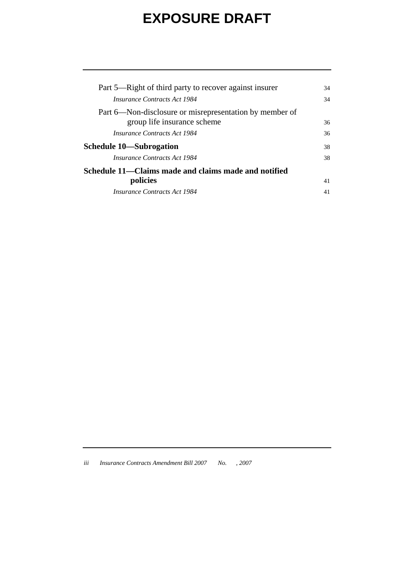| Part 5—Right of third party to recover against insurer                                 | 34 |
|----------------------------------------------------------------------------------------|----|
| <i>Insurance Contracts Act 1984</i>                                                    | 34 |
| Part 6—Non-disclosure or misrepresentation by member of<br>group life insurance scheme | 36 |
| <i>Insurance Contracts Act 1984</i>                                                    | 36 |
| <b>Schedule 10—Subrogation</b>                                                         |    |
| Insurance Contracts Act 1984                                                           | 38 |
| Schedule 11—Claims made and claims made and notified                                   |    |
| policies                                                                               | 41 |
| Insurance Contracts Act 1984                                                           | 41 |
|                                                                                        |    |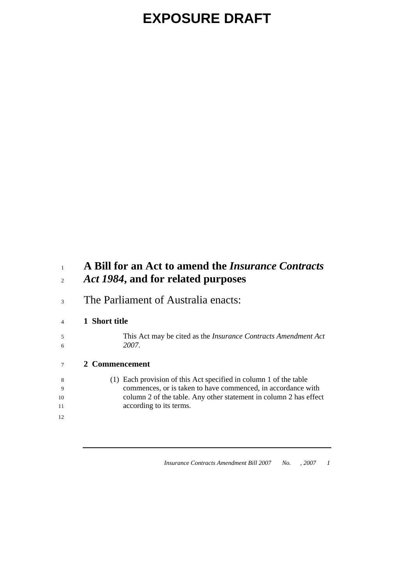#### <span id="page-6-0"></span>**A Bill for an Act to amend the** *Insurance Contracts Act 1984***, and for related purposes**  1 2

3 The Parliament of Australia enacts:

#### 4 **1 Short title**

 This Act may be cited as the *Insurance Contracts Amendment Act 2007*.

#### 7 **2 Commencement**

- (1) Each provision of this Act specified in column 1 of the table commences, or is taken to have commenced, in accordance with column 2 of the table. Any other statement in column 2 has effect according to its terms.
- 11 12

8 9 10

5 6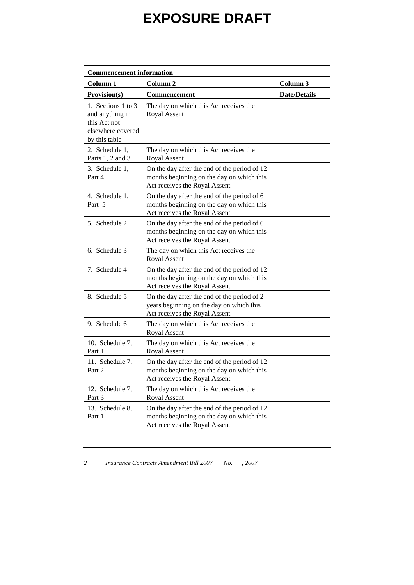| <b>Commencement information</b>                                                             |                                                                                                                            |                     |  |
|---------------------------------------------------------------------------------------------|----------------------------------------------------------------------------------------------------------------------------|---------------------|--|
| Column 1                                                                                    | Column <sub>2</sub>                                                                                                        | Column 3            |  |
| Provision(s)                                                                                | <b>Commencement</b>                                                                                                        | <b>Date/Details</b> |  |
| 1. Sections 1 to 3<br>and anything in<br>this Act not<br>elsewhere covered<br>by this table | The day on which this Act receives the<br>Royal Assent                                                                     |                     |  |
| 2. Schedule 1,<br>Parts 1, 2 and 3                                                          | The day on which this Act receives the<br>Royal Assent                                                                     |                     |  |
| 3. Schedule 1,<br>Part 4                                                                    | On the day after the end of the period of 12<br>months beginning on the day on which this<br>Act receives the Royal Assent |                     |  |
| 4. Schedule 1,<br>Part 5                                                                    | On the day after the end of the period of 6<br>months beginning on the day on which this<br>Act receives the Royal Assent  |                     |  |
| 5. Schedule 2                                                                               | On the day after the end of the period of 6<br>months beginning on the day on which this<br>Act receives the Royal Assent  |                     |  |
| 6. Schedule 3                                                                               | The day on which this Act receives the<br><b>Royal Assent</b>                                                              |                     |  |
| 7. Schedule 4                                                                               | On the day after the end of the period of 12<br>months beginning on the day on which this<br>Act receives the Royal Assent |                     |  |
| 8. Schedule 5                                                                               | On the day after the end of the period of 2<br>years beginning on the day on which this<br>Act receives the Royal Assent   |                     |  |
| 9. Schedule 6                                                                               | The day on which this Act receives the<br>Royal Assent                                                                     |                     |  |
| 10. Schedule 7,<br>Part 1                                                                   | The day on which this Act receives the<br>Royal Assent                                                                     |                     |  |
| 11. Schedule 7,<br>Part 2                                                                   | On the day after the end of the period of 12<br>months beginning on the day on which this<br>Act receives the Royal Assent |                     |  |
| 12. Schedule 7,<br>Part 3                                                                   | The day on which this Act receives the<br>Royal Assent                                                                     |                     |  |
| 13. Schedule 8,<br>Part 1                                                                   | On the day after the end of the period of 12<br>months beginning on the day on which this<br>Act receives the Royal Assent |                     |  |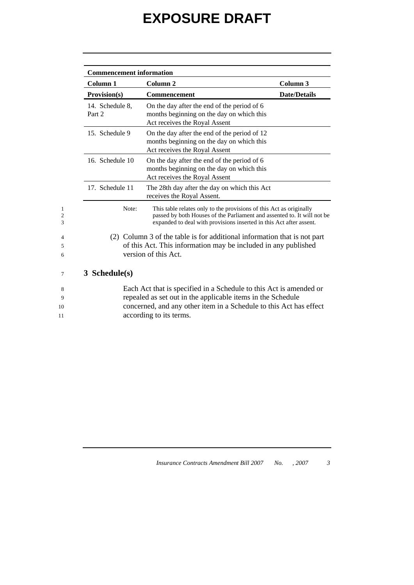<span id="page-8-0"></span>

| Column 1                  | Column <sub>2</sub>                                                                                                                                                                                                                | Column 3            |
|---------------------------|------------------------------------------------------------------------------------------------------------------------------------------------------------------------------------------------------------------------------------|---------------------|
| Provision(s)              | <b>Commencement</b>                                                                                                                                                                                                                | <b>Date/Details</b> |
| 14. Schedule 8,<br>Part 2 | On the day after the end of the period of 6<br>months beginning on the day on which this<br>Act receives the Royal Assent                                                                                                          |                     |
| 15. Schedule 9            | On the day after the end of the period of 12<br>months beginning on the day on which this<br>Act receives the Royal Assent                                                                                                         |                     |
| 16. Schedule 10           | On the day after the end of the period of 6<br>months beginning on the day on which this<br>Act receives the Royal Assent                                                                                                          |                     |
| 17. Schedule 11           | The 28th day after the day on which this Act<br>receives the Royal Assent.                                                                                                                                                         |                     |
| Note:                     | This table relates only to the provisions of this Act as originally<br>passed by both Houses of the Parliament and assented to. It will not be<br>expanded to deal with provisions inserted in this Act after assent.              |                     |
|                           | (2) Column 3 of the table is for additional information that is not part<br>of this Act. This information may be included in any published<br>version of this Act.                                                                 |                     |
| 3 Schedule(s)             |                                                                                                                                                                                                                                    |                     |
|                           | Each Act that is specified in a Schedule to this Act is amended or<br>repealed as set out in the applicable items in the Schedule<br>concerned, and any other item in a Schedule to this Act has effect<br>according to its terms. |                     |

1 2 3

4 5 6

7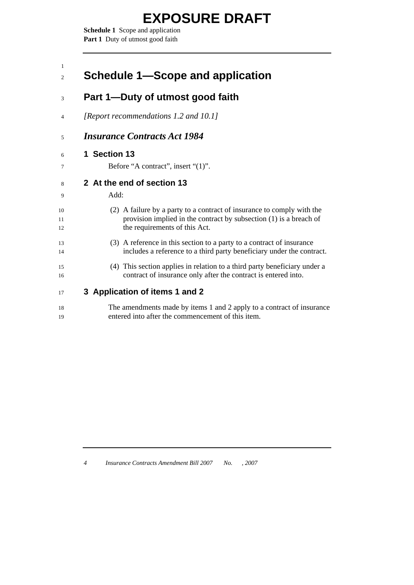**Schedule 1** Scope and application **Part 1** Duty of utmost good faith

<span id="page-9-0"></span>

| 1<br>$\overline{c}$ | Schedule 1—Scope and application                                                                                                                                                |
|---------------------|---------------------------------------------------------------------------------------------------------------------------------------------------------------------------------|
| 3                   | Part 1—Duty of utmost good faith                                                                                                                                                |
| $\overline{4}$      | [Report recommendations 1.2 and 10.1]                                                                                                                                           |
| 5                   | <b>Insurance Contracts Act 1984</b>                                                                                                                                             |
| 6<br>7              | 1 Section 13<br>Before "A contract", insert "(1)".                                                                                                                              |
| 8                   | 2 At the end of section 13                                                                                                                                                      |
| 9                   | Add:                                                                                                                                                                            |
| 10<br>11<br>12      | (2) A failure by a party to a contract of insurance to comply with the<br>provision implied in the contract by subsection $(1)$ is a breach of<br>the requirements of this Act. |
| 13<br>14            | (3) A reference in this section to a party to a contract of insurance<br>includes a reference to a third party beneficiary under the contract.                                  |
| 15<br>16            | (4) This section applies in relation to a third party beneficiary under a<br>contract of insurance only after the contract is entered into.                                     |
| 17                  | 3 Application of items 1 and 2                                                                                                                                                  |
| 18<br>19            | The amendments made by items 1 and 2 apply to a contract of insurance<br>entered into after the commencement of this item.                                                      |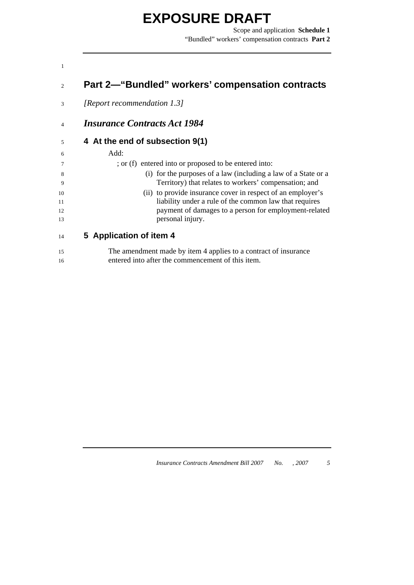Scope and application **Schedule 1** "Bundled" workers' compensation contracts **Part 2** 

#### 2 **Part 2—"Bundled" workers' compensation contracts**

3 *[Report recommendation 1.3]* 

#### 4 *Insurance Contracts Act 1984*

#### 5 **4 At the end of subsection 9(1)**

### $A = 1, 1, 3$

<span id="page-10-0"></span>1

| - 6          | Add:                                                           |
|--------------|----------------------------------------------------------------|
|              | ; or (f) entered into or proposed to be entered into:          |
| -8           | (i) for the purposes of a law (including a law of a State or a |
| $\mathbf{Q}$ | Territory) that relates to workers' compensation; and          |
| 10           | (ii) to provide insurance cover in respect of an employer's    |
| 11           | liability under a rule of the common law that requires         |
| 12           | payment of damages to a person for employment-related          |
| 13           | personal injury.                                               |
| 14           | 5 Application of item 4                                        |

#### 15 16 The amendment made by item 4 applies to a contract of insurance entered into after the commencement of this item.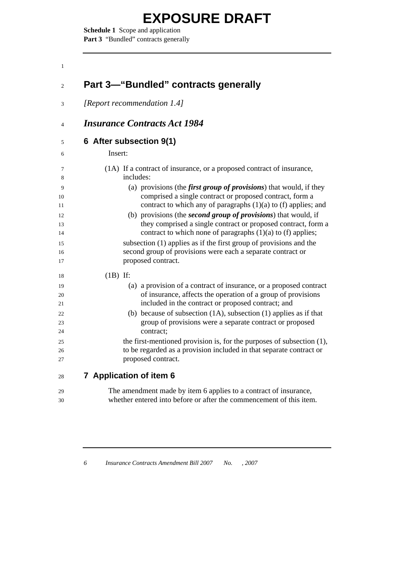<span id="page-11-0"></span>**Schedule 1** Scope and application Part 3 "Bundled" contracts generally

| Part 3-"Bundled" contracts generally                                                                                                                                                                                   |
|------------------------------------------------------------------------------------------------------------------------------------------------------------------------------------------------------------------------|
| [Report recommendation 1.4]                                                                                                                                                                                            |
| <b>Insurance Contracts Act 1984</b>                                                                                                                                                                                    |
| 6 After subsection 9(1)                                                                                                                                                                                                |
| Insert:                                                                                                                                                                                                                |
| (1A) If a contract of insurance, or a proposed contract of insurance,<br>includes:                                                                                                                                     |
| (a) provisions (the <i>first group of provisions</i> ) that would, if they<br>comprised a single contract or proposed contract, form a<br>contract to which any of paragraphs $(1)(a)$ to $(f)$ applies; and           |
| (b) provisions (the second group of provisions) that would, if<br>they comprised a single contract or proposed contract, form a                                                                                        |
| contract to which none of paragraphs (1)(a) to (f) applies;<br>subsection (1) applies as if the first group of provisions and the<br>second group of provisions were each a separate contract or<br>proposed contract. |
|                                                                                                                                                                                                                        |
| $(1B)$ If:<br>(a) a provision of a contract of insurance, or a proposed contract<br>of insurance, affects the operation of a group of provisions<br>included in the contract or proposed contract; and                 |
| (b) because of subsection $(1A)$ , subsection $(1)$ applies as if that<br>group of provisions were a separate contract or proposed<br>contract;                                                                        |
| the first-mentioned provision is, for the purposes of subsection (1),<br>to be regarded as a provision included in that separate contract or<br>proposed contract.                                                     |
| 7 Application of item 6                                                                                                                                                                                                |
| The amendment made by item 6 applies to a contract of insurance,                                                                                                                                                       |
| whether entered into before or after the commencement of this item.                                                                                                                                                    |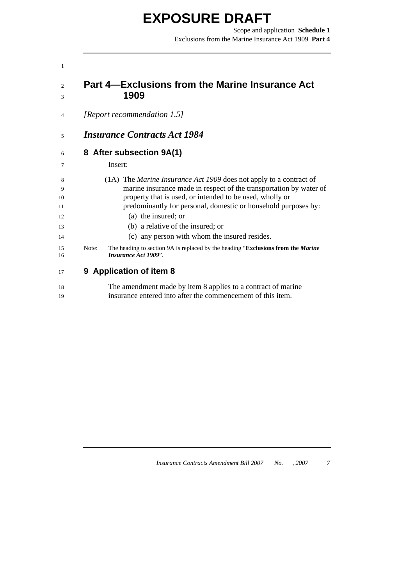Scope and application **Schedule 1** Exclusions from the Marine Insurance Act 1909 **Part 4** 

#### 2 3 **Part 4—Exclusions from the Marine Insurance Act 1909**

4 *[Report recommendation 1.5]* 

#### 5 *Insurance Contracts Act 1984*

#### 6 **8 After subsection 9A(1)**

Insert:

<span id="page-12-0"></span>1

7

| 8            |       | (1A) The <i>Marine Insurance Act 1909</i> does not apply to a contract of         |
|--------------|-------|-----------------------------------------------------------------------------------|
| $\mathbf{Q}$ |       | marine insurance made in respect of the transportation by water of                |
| 10           |       | property that is used, or intended to be used, wholly or                          |
| 11           |       | predominantly for personal, domestic or household purposes by:                    |
| 12           |       | (a) the insured; or                                                               |
| 13           |       | (b) a relative of the insured; or                                                 |
| 14           |       | (c) any person with whom the insured resides.                                     |
| 15           | Note: | The heading to section 9A is replaced by the heading "Exclusions from the Marine" |
| 16           |       | <b>Insurance Act 1909".</b>                                                       |

#### 17 **9 Application of item 8**

18 19 The amendment made by item 8 applies to a contract of marine insurance entered into after the commencement of this item.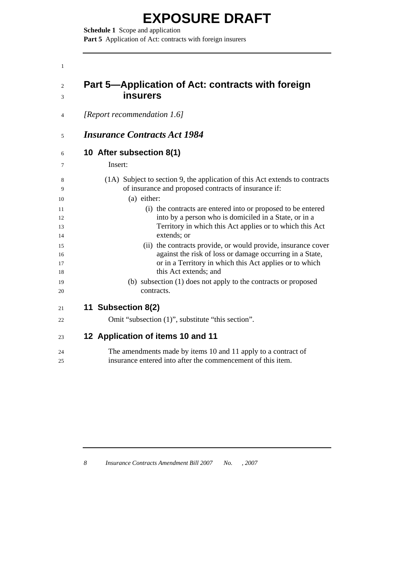**Schedule 1** Scope and application Part 5 Application of Act: contracts with foreign insurers

<span id="page-13-0"></span>

| $\mathbf{1}$         |                                                                                                                                                                                                               |
|----------------------|---------------------------------------------------------------------------------------------------------------------------------------------------------------------------------------------------------------|
| 2<br>3               | Part 5—Application of Act: contracts with foreign<br><b>insurers</b>                                                                                                                                          |
| 4                    | [Report recommendation 1.6]                                                                                                                                                                                   |
| 5                    | <b>Insurance Contracts Act 1984</b>                                                                                                                                                                           |
| 6                    | 10 After subsection 8(1)                                                                                                                                                                                      |
| 7                    | Insert:                                                                                                                                                                                                       |
| 8<br>9               | (1A) Subject to section 9, the application of this Act extends to contracts<br>of insurance and proposed contracts of insurance if:                                                                           |
| 10                   | (a) either:                                                                                                                                                                                                   |
| 11<br>12<br>13<br>14 | (i) the contracts are entered into or proposed to be entered<br>into by a person who is domiciled in a State, or in a<br>Territory in which this Act applies or to which this Act<br>extends; or              |
| 15<br>16<br>17<br>18 | (ii) the contracts provide, or would provide, insurance cover<br>against the risk of loss or damage occurring in a State,<br>or in a Territory in which this Act applies or to which<br>this Act extends; and |
| 19<br>20             | (b) subsection (1) does not apply to the contracts or proposed<br>contracts.                                                                                                                                  |
| 21                   | 11 Subsection 8(2)                                                                                                                                                                                            |
| 22                   | Omit "subsection (1)", substitute "this section".                                                                                                                                                             |
| 23                   | 12 Application of items 10 and 11                                                                                                                                                                             |
| 24<br>25             | The amendments made by items 10 and 11 apply to a contract of<br>insurance entered into after the commencement of this item.                                                                                  |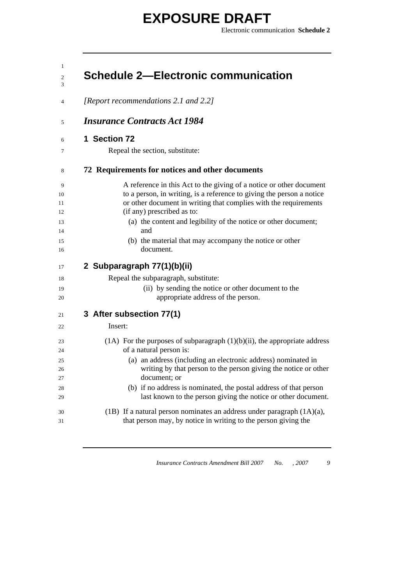<span id="page-14-0"></span>1

Electronic communication **Schedule 2**

| <b>Schedule 2—Electronic communication</b>                                                                                                                                                                                                     |
|------------------------------------------------------------------------------------------------------------------------------------------------------------------------------------------------------------------------------------------------|
| [Report recommendations 2.1 and 2.2]                                                                                                                                                                                                           |
| <b>Insurance Contracts Act 1984</b>                                                                                                                                                                                                            |
| 1 Section 72                                                                                                                                                                                                                                   |
| Repeal the section, substitute:                                                                                                                                                                                                                |
| 72 Requirements for notices and other documents                                                                                                                                                                                                |
| A reference in this Act to the giving of a notice or other document<br>to a person, in writing, is a reference to giving the person a notice<br>or other document in writing that complies with the requirements<br>(if any) prescribed as to: |
| (a) the content and legibility of the notice or other document;<br>and                                                                                                                                                                         |
| (b) the material that may accompany the notice or other<br>document.                                                                                                                                                                           |
| 2 Subparagraph 77(1)(b)(ii)                                                                                                                                                                                                                    |
| Repeal the subparagraph, substitute:                                                                                                                                                                                                           |
| (ii) by sending the notice or other document to the<br>appropriate address of the person.                                                                                                                                                      |
| 3 After subsection 77(1)                                                                                                                                                                                                                       |
| Insert:                                                                                                                                                                                                                                        |
| $(1A)$ For the purposes of subparagraph $(1)(b)(ii)$ , the appropriate address<br>of a natural person is:                                                                                                                                      |
| (a) an address (including an electronic address) nominated in                                                                                                                                                                                  |
| writing by that person to the person giving the notice or other                                                                                                                                                                                |
| document; or                                                                                                                                                                                                                                   |
| (b) if no address is nominated, the postal address of that person<br>last known to the person giving the notice or other document.                                                                                                             |
| (1B) If a natural person nominates an address under paragraph $(1A)(a)$ ,                                                                                                                                                                      |
| that person may, by notice in writing to the person giving the                                                                                                                                                                                 |
|                                                                                                                                                                                                                                                |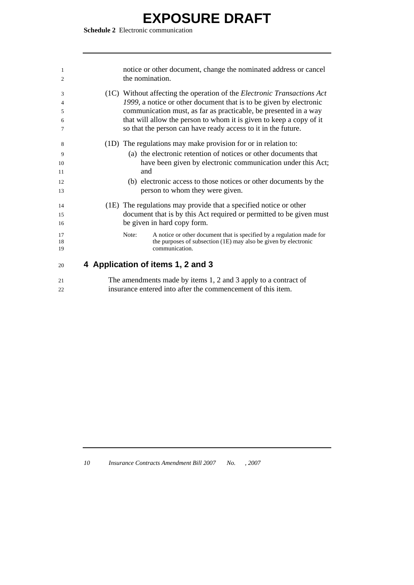**Schedule 2** Electronic communication

| 1  | notice or other document, change the nominated address or cancel               |
|----|--------------------------------------------------------------------------------|
| 2  | the nomination.                                                                |
| 3  | (1C) Without affecting the operation of the <i>Electronic Transactions Act</i> |
| 4  | 1999, a notice or other document that is to be given by electronic             |
| 5  | communication must, as far as practicable, be presented in a way               |
| 6  | that will allow the person to whom it is given to keep a copy of it            |
| 7  | so that the person can have ready access to it in the future.                  |
| 8  | (1D) The regulations may make provision for or in relation to:                 |
| 9  | (a) the electronic retention of notices or other documents that                |
| 10 | have been given by electronic communication under this Act;                    |
| 11 | and                                                                            |
| 12 | (b) electronic access to those notices or other documents by the               |
| 13 | person to whom they were given.                                                |
| 14 | (1E) The regulations may provide that a specified notice or other              |
| 15 | document that is by this Act required or permitted to be given must            |
| 16 | be given in hard copy form.                                                    |
| 17 | Note:<br>A notice or other document that is specified by a regulation made for |
| 18 | the purposes of subsection (1E) may also be given by electronic                |
| 19 | communication.                                                                 |
| 20 | 4 Application of items 1, 2 and 3                                              |
| 21 | The amendments made by items 1, 2 and 3 apply to a contract of                 |
| 22 | insurance entered into after the commencement of this item.                    |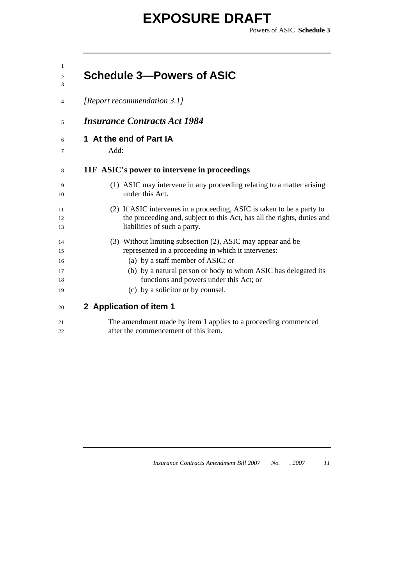Powers of ASIC **Schedule 3**

<span id="page-16-0"></span>

| $\mathbf{1}$<br>$\mathfrak{2}$<br>3 | <b>Schedule 3-Powers of ASIC</b>                                                                                                                                                  |
|-------------------------------------|-----------------------------------------------------------------------------------------------------------------------------------------------------------------------------------|
| $\overline{4}$                      | [Report recommendation 3.1]                                                                                                                                                       |
| 5                                   | <b>Insurance Contracts Act 1984</b>                                                                                                                                               |
| 6<br>7                              | 1 At the end of Part IA<br>Add:                                                                                                                                                   |
| 8                                   | 11F ASIC's power to intervene in proceedings                                                                                                                                      |
| 9<br>10                             | (1) ASIC may intervene in any proceeding relating to a matter arising<br>under this Act.                                                                                          |
| 11<br>12<br>13                      | (2) If ASIC intervenes in a proceeding, ASIC is taken to be a party to<br>the proceeding and, subject to this Act, has all the rights, duties and<br>liabilities of such a party. |
| 14<br>15                            | (3) Without limiting subsection (2), ASIC may appear and be<br>represented in a proceeding in which it intervenes:                                                                |
| 16                                  | (a) by a staff member of ASIC; or                                                                                                                                                 |
| 17                                  | (b) by a natural person or body to whom ASIC has delegated its                                                                                                                    |
| 18                                  | functions and powers under this Act; or                                                                                                                                           |
| 19                                  | (c) by a solicitor or by counsel.                                                                                                                                                 |
| 20                                  | 2 Application of item 1                                                                                                                                                           |
| 21                                  | The amendment made by item 1 applies to a proceeding commenced                                                                                                                    |

22 after the commencement of this item.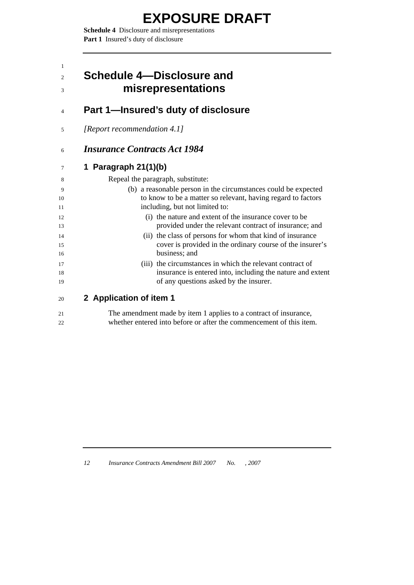<span id="page-17-0"></span>**Schedule 4** Disclosure and misrepresentations **Part 1** Insured's duty of disclosure

#### 1 2 3 **Schedule 4—Disclosure and misrepresentations**

#### 4 **Part 1—Insured's duty of disclosure**

5 *[Report recommendation 4.1]* 

#### 6 *Insurance Contracts Act 1984*

#### 7 **1 Paragraph 21(1)(b)**

| 8  | Repeal the paragraph, substitute:                              |
|----|----------------------------------------------------------------|
| -9 | (b) a reasonable person in the circumstances could be expected |
| 10 | to know to be a matter so relevant, having regard to factors   |
| 11 | including, but not limited to:                                 |
| 12 | (i) the nature and extent of the insurance cover to be         |
| 13 | provided under the relevant contract of insurance; and         |
| 14 | (ii) the class of persons for whom that kind of insurance      |
| 15 | cover is provided in the ordinary course of the insurer's      |
| 16 | business; and                                                  |
| 17 | (iii) the circumstances in which the relevant contract of      |
| 18 | insurance is entered into, including the nature and extent     |
| 19 | of any questions asked by the insurer.                         |

20 **2 Application of item 1** 

| 21 | The amendment made by item 1 applies to a contract of insurance,    |
|----|---------------------------------------------------------------------|
| 22 | whether entered into before or after the commencement of this item. |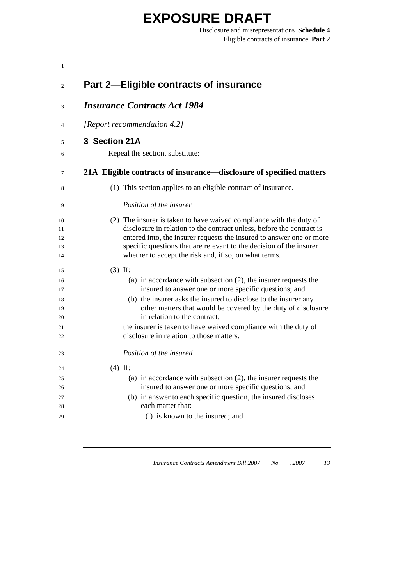Disclosure and misrepresentations **Schedule 4** Eligible contracts of insurance **Part 2** 

<span id="page-18-0"></span>

| <b>Part 2-Eligible contracts of insurance</b>                                                                                               |
|---------------------------------------------------------------------------------------------------------------------------------------------|
| <b>Insurance Contracts Act 1984</b>                                                                                                         |
| [Report recommendation 4.2]                                                                                                                 |
| 3 Section 21A                                                                                                                               |
| Repeal the section, substitute:                                                                                                             |
| 21A Eligible contracts of insurance—disclosure of specified matters                                                                         |
| (1) This section applies to an eligible contract of insurance.                                                                              |
| Position of the insurer                                                                                                                     |
| (2) The insurer is taken to have waived compliance with the duty of                                                                         |
| disclosure in relation to the contract unless, before the contract is                                                                       |
| entered into, the insurer requests the insured to answer one or more<br>specific questions that are relevant to the decision of the insurer |
| whether to accept the risk and, if so, on what terms.                                                                                       |
| $(3)$ If:                                                                                                                                   |
| (a) in accordance with subsection $(2)$ , the insurer requests the                                                                          |
| insured to answer one or more specific questions; and                                                                                       |
| (b) the insurer asks the insured to disclose to the insurer any                                                                             |
| other matters that would be covered by the duty of disclosure<br>in relation to the contract;                                               |
| the insurer is taken to have waived compliance with the duty of                                                                             |
| disclosure in relation to those matters.                                                                                                    |
| Position of the insured                                                                                                                     |
| $(4)$ If:                                                                                                                                   |
| (a) in accordance with subsection $(2)$ , the insurer requests the                                                                          |
| insured to answer one or more specific questions; and                                                                                       |
| (b) in answer to each specific question, the insured discloses<br>each matter that:                                                         |
| (i) is known to the insured; and                                                                                                            |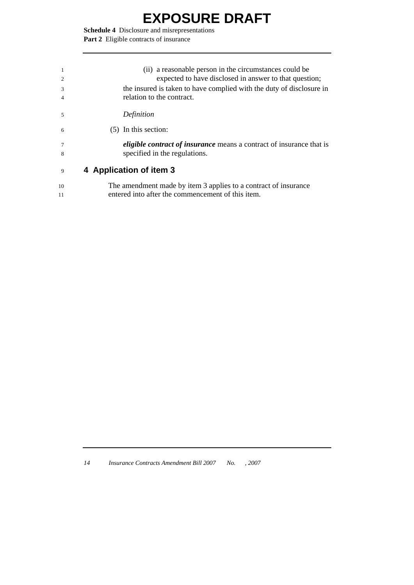**Schedule 4** Disclosure and misrepresentations **Part 2** Eligible contracts of insurance

|                             | (ii) a reasonable person in the circumstances could be                      |
|-----------------------------|-----------------------------------------------------------------------------|
| $\mathcal{D}_{\mathcal{L}}$ | expected to have disclosed in answer to that question;                      |
| 3                           | the insured is taken to have complied with the duty of disclosure in        |
|                             | relation to the contract.                                                   |
|                             |                                                                             |
| 5                           | Definition                                                                  |
|                             | $(5)$ In this section:                                                      |
| 6                           |                                                                             |
|                             | <i>eligible contract of insurance</i> means a contract of insurance that is |
| 8                           | specified in the regulations.                                               |
|                             |                                                                             |
| 9                           | 4 Application of item 3                                                     |

10 11 The amendment made by item 3 applies to a contract of insurance entered into after the commencement of this item.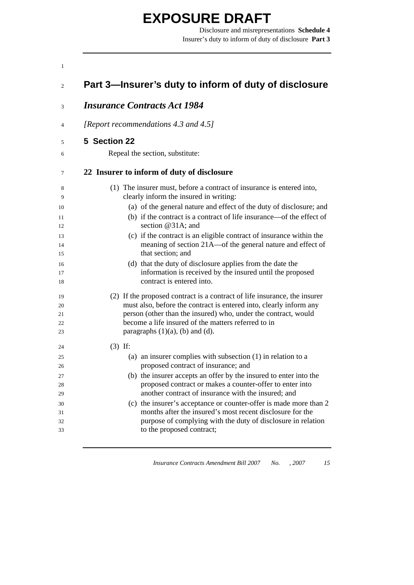Disclosure and misrepresentations **Schedule 4** Insurer's duty to inform of duty of disclosure **Part 3** 

<span id="page-20-0"></span>

|              | Part 3—Insurer's duty to inform of duty of disclosure                                                                         |
|--------------|-------------------------------------------------------------------------------------------------------------------------------|
|              | <b>Insurance Contracts Act 1984</b>                                                                                           |
|              | [Report recommendations 4.3 and 4.5]                                                                                          |
| 5 Section 22 |                                                                                                                               |
|              | Repeal the section, substitute:                                                                                               |
|              | 22 Insurer to inform of duty of disclosure                                                                                    |
|              | (1) The insurer must, before a contract of insurance is entered into,<br>clearly inform the insured in writing:               |
|              | (a) of the general nature and effect of the duty of disclosure; and                                                           |
|              | (b) if the contract is a contract of life insurance—of the effect of<br>section $@31A$ ; and                                  |
|              | (c) if the contract is an eligible contract of insurance within the                                                           |
|              | meaning of section 21A—of the general nature and effect of                                                                    |
|              | that section; and                                                                                                             |
|              | (d) that the duty of disclosure applies from the date the<br>information is received by the insured until the proposed        |
|              | contract is entered into.                                                                                                     |
|              | (2) If the proposed contract is a contract of life insurance, the insurer                                                     |
|              | must also, before the contract is entered into, clearly inform any                                                            |
|              | person (other than the insured) who, under the contract, would<br>become a life insured of the matters referred to in         |
|              | paragraphs $(1)(a)$ , $(b)$ and $(d)$ .                                                                                       |
|              | $(3)$ If:                                                                                                                     |
|              | (a) an insurer complies with subsection $(1)$ in relation to a                                                                |
|              | proposed contract of insurance; and                                                                                           |
|              | (b) the insurer accepts an offer by the insured to enter into the<br>proposed contract or makes a counter-offer to enter into |
|              | another contract of insurance with the insured; and                                                                           |
|              | (c) the insurer's acceptance or counter-offer is made more than 2                                                             |
|              | months after the insured's most recent disclosure for the                                                                     |
|              | purpose of complying with the duty of disclosure in relation<br>to the proposed contract;                                     |
|              |                                                                                                                               |
|              |                                                                                                                               |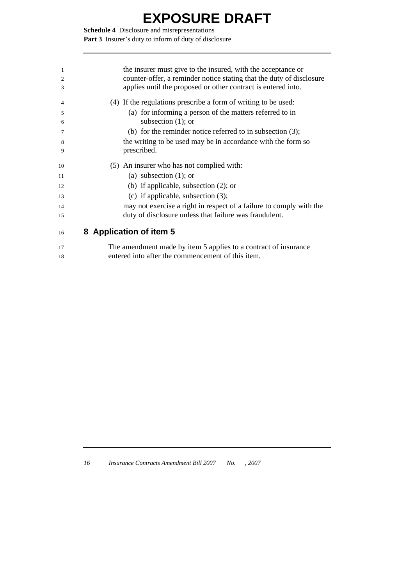**Schedule 4** Disclosure and misrepresentations Part 3 Insurer's duty to inform of duty of disclosure

| 1              | the insurer must give to the insured, with the acceptance or         |
|----------------|----------------------------------------------------------------------|
| $\overline{c}$ | counter-offer, a reminder notice stating that the duty of disclosure |
| 3              | applies until the proposed or other contract is entered into.        |
| 4              | (4) If the regulations prescribe a form of writing to be used:       |
| 5              | (a) for informing a person of the matters referred to in             |
| 6              | subsection $(1)$ ; or                                                |
| 7              | (b) for the reminder notice referred to in subsection $(3)$ ;        |
| 8              | the writing to be used may be in accordance with the form so         |
| 9              | prescribed.                                                          |
| 10             | (5) An insurer who has not complied with:                            |
| 11             | (a) subsection $(1)$ ; or                                            |
| 12             | (b) if applicable, subsection $(2)$ ; or                             |
| 13             | (c) if applicable, subsection $(3)$ ;                                |
| 14             | may not exercise a right in respect of a failure to comply with the  |
| 15             | duty of disclosure unless that failure was fraudulent.               |
| 16             | 8 Application of item 5                                              |
| 17             | The amendment made by item 5 applies to a contract of insurance      |
| 18             | entered into after the commencement of this item.                    |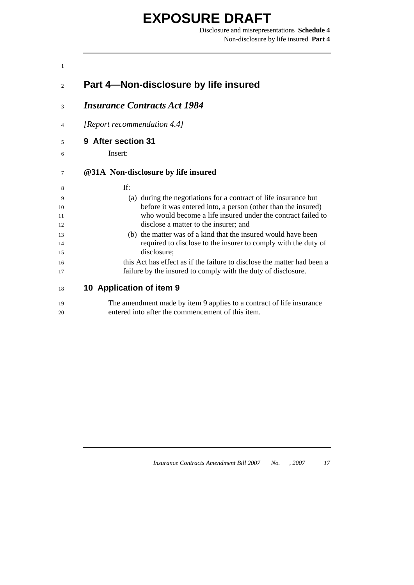Disclosure and misrepresentations **Schedule 4** Non-disclosure by life insured **Part 4** 

<span id="page-22-0"></span>

|                    | Part 4-Non-disclosure by life insured                                                                                                    |
|--------------------|------------------------------------------------------------------------------------------------------------------------------------------|
|                    | <b>Insurance Contracts Act 1984</b>                                                                                                      |
|                    | [Report recommendation 4.4]                                                                                                              |
| 9 After section 31 |                                                                                                                                          |
| Insert:            |                                                                                                                                          |
|                    | @31A Non-disclosure by life insured                                                                                                      |
| If:                |                                                                                                                                          |
|                    | (a) during the negotiations for a contract of life insurance but                                                                         |
|                    | before it was entered into, a person (other than the insured)<br>who would become a life insured under the contract failed to            |
|                    | disclose a matter to the insurer; and                                                                                                    |
|                    | (b) the matter was of a kind that the insured would have been                                                                            |
|                    | required to disclose to the insurer to comply with the duty of                                                                           |
|                    | disclosure;                                                                                                                              |
|                    | this Act has effect as if the failure to disclose the matter had been a<br>failure by the insured to comply with the duty of disclosure. |
|                    | 10 Application of item 9                                                                                                                 |
|                    |                                                                                                                                          |

19 20 The amendment made by item 9 applies to a contract of life insurance entered into after the commencement of this item.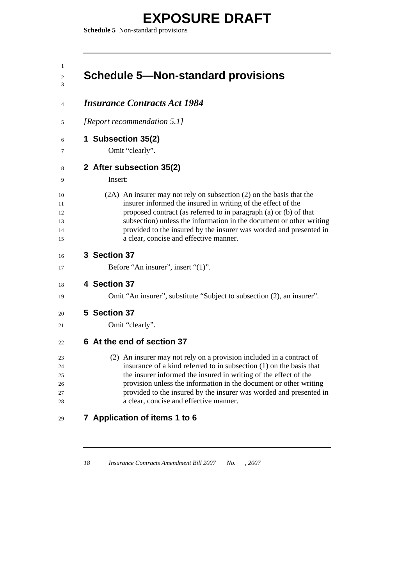<span id="page-23-0"></span>**Schedule 5** Non-standard provisions

#### 1 2 3 **Schedule 5—Non-standard provisions**

| <b>Insurance Contracts Act 1984</b>                                                                                                                                                                                                                                                                                                                                                              |
|--------------------------------------------------------------------------------------------------------------------------------------------------------------------------------------------------------------------------------------------------------------------------------------------------------------------------------------------------------------------------------------------------|
| [Report recommendation 5.1]                                                                                                                                                                                                                                                                                                                                                                      |
| 1 Subsection 35(2)<br>Omit "clearly".                                                                                                                                                                                                                                                                                                                                                            |
| 2 After subsection 35(2)                                                                                                                                                                                                                                                                                                                                                                         |
| Insert:                                                                                                                                                                                                                                                                                                                                                                                          |
| (2A) An insurer may not rely on subsection (2) on the basis that the<br>insurer informed the insured in writing of the effect of the<br>proposed contract (as referred to in paragraph (a) or (b) of that<br>subsection) unless the information in the document or other writing<br>provided to the insured by the insurer was worded and presented in<br>a clear, concise and effective manner. |
| 3 Section 37                                                                                                                                                                                                                                                                                                                                                                                     |
| Before "An insurer", insert "(1)".                                                                                                                                                                                                                                                                                                                                                               |
| 4 Section 37                                                                                                                                                                                                                                                                                                                                                                                     |
| Omit "An insurer", substitute "Subject to subsection (2), an insurer".                                                                                                                                                                                                                                                                                                                           |
| 5 Section 37                                                                                                                                                                                                                                                                                                                                                                                     |
| Omit "clearly".                                                                                                                                                                                                                                                                                                                                                                                  |
| 6 At the end of section 37                                                                                                                                                                                                                                                                                                                                                                       |
| (2) An insurer may not rely on a provision included in a contract of                                                                                                                                                                                                                                                                                                                             |
| insurance of a kind referred to in subsection (1) on the basis that                                                                                                                                                                                                                                                                                                                              |
| the insurer informed the insured in writing of the effect of the                                                                                                                                                                                                                                                                                                                                 |
| provision unless the information in the document or other writing                                                                                                                                                                                                                                                                                                                                |
| provided to the insured by the insurer was worded and presented in                                                                                                                                                                                                                                                                                                                               |
| a clear, concise and effective manner.                                                                                                                                                                                                                                                                                                                                                           |
| 7 Application of items 1 to 6                                                                                                                                                                                                                                                                                                                                                                    |

29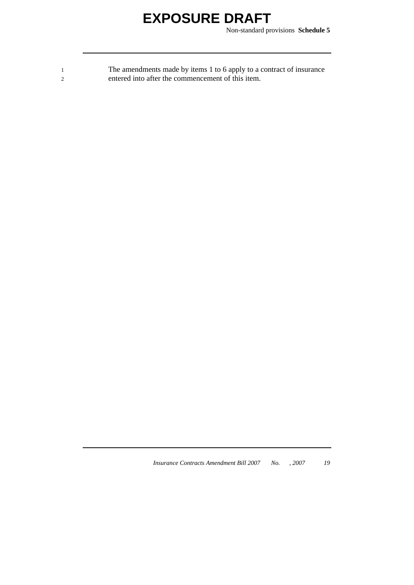Non-standard provisions **Schedule 5**

| The amendments made by items 1 to 6 apply to a contract of insurance |
|----------------------------------------------------------------------|
| entered into after the commencement of this item.                    |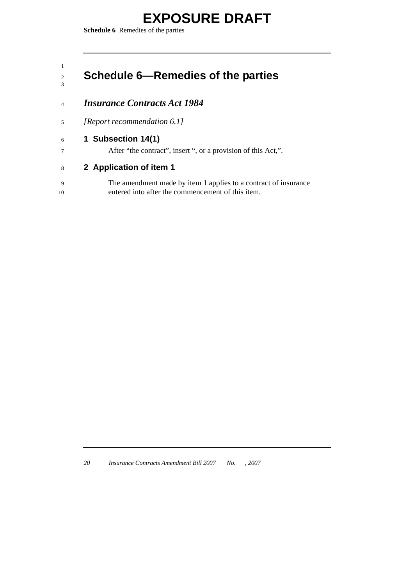<span id="page-25-0"></span>**Schedule 6** Remedies of the parties

#### 1 2 3 **Schedule 6—Remedies of the parties**

#### 4 *Insurance Contracts Act 1984*

5 *[Report recommendation 6.1]* 

#### 6 **1 Subsection 14(1)**

7

After "the contract", insert ", or a provision of this Act,".

#### 8 **2 Application of item 1**

9 10 The amendment made by item 1 applies to a contract of insurance entered into after the commencement of this item.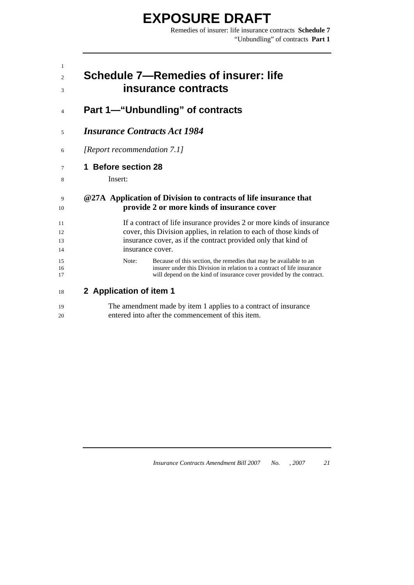Remedies of insurer: life insurance contracts **Schedule 7** "Unbundling" of contracts **Part 1** 

<span id="page-26-0"></span>

| 1<br>2<br>3          | Schedule 7–Remedies of insurer: life<br>insurance contracts                                                                                                                                                                        |
|----------------------|------------------------------------------------------------------------------------------------------------------------------------------------------------------------------------------------------------------------------------|
| $\overline{4}$       | Part 1—"Unbundling" of contracts                                                                                                                                                                                                   |
| 5                    | <b>Insurance Contracts Act 1984</b>                                                                                                                                                                                                |
| 6                    | [Report recommendation 7.1]                                                                                                                                                                                                        |
| 7<br>8               | 1 Before section 28<br>Insert:                                                                                                                                                                                                     |
| 9<br>10              | @27A Application of Division to contracts of life insurance that<br>provide 2 or more kinds of insurance cover                                                                                                                     |
| 11<br>12<br>13<br>14 | If a contract of life insurance provides 2 or more kinds of insurance<br>cover, this Division applies, in relation to each of those kinds of<br>insurance cover, as if the contract provided only that kind of<br>insurance cover. |
| 15<br>16<br>17       | Because of this section, the remedies that may be available to an<br>Note:<br>insurer under this Division in relation to a contract of life insurance<br>will depend on the kind of insurance cover provided by the contract.      |
| 18                   | 2 Application of item 1                                                                                                                                                                                                            |
| 19<br>20             | The amendment made by item 1 applies to a contract of insurance<br>entered into after the commencement of this item.                                                                                                               |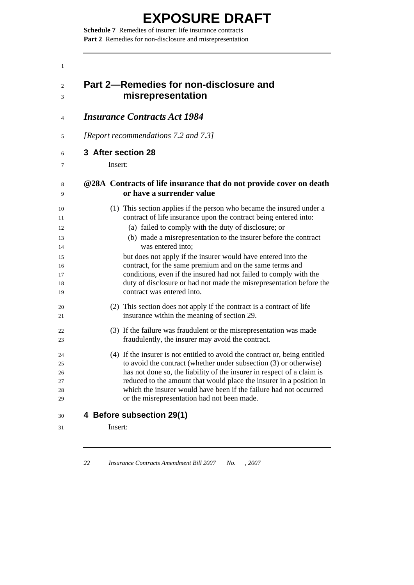**Schedule 7** Remedies of insurer: life insurance contracts **Part 2** Remedies for non-disclosure and misrepresentation

<span id="page-27-0"></span>

| $\mathbf{1}$                     |                                                                                                                                                                                                                                                                                                                                                                                                                       |
|----------------------------------|-----------------------------------------------------------------------------------------------------------------------------------------------------------------------------------------------------------------------------------------------------------------------------------------------------------------------------------------------------------------------------------------------------------------------|
| 2<br>3                           | Part 2—Remedies for non-disclosure and<br>misrepresentation                                                                                                                                                                                                                                                                                                                                                           |
| 4                                | <b>Insurance Contracts Act 1984</b>                                                                                                                                                                                                                                                                                                                                                                                   |
| 5                                | [Report recommendations 7.2 and 7.3]                                                                                                                                                                                                                                                                                                                                                                                  |
| 6                                | 3 After section 28                                                                                                                                                                                                                                                                                                                                                                                                    |
| 7                                | Insert:                                                                                                                                                                                                                                                                                                                                                                                                               |
| 8<br>9                           | @28A Contracts of life insurance that do not provide cover on death<br>or have a surrender value                                                                                                                                                                                                                                                                                                                      |
| 10<br>11<br>12<br>13             | (1) This section applies if the person who became the insured under a<br>contract of life insurance upon the contract being entered into:<br>(a) failed to comply with the duty of disclosure; or<br>(b) made a misrepresentation to the insurer before the contract<br>was entered into;                                                                                                                             |
| 14<br>15<br>16<br>17<br>18<br>19 | but does not apply if the insurer would have entered into the<br>contract, for the same premium and on the same terms and<br>conditions, even if the insured had not failed to comply with the<br>duty of disclosure or had not made the misrepresentation before the<br>contract was entered into.                                                                                                                   |
| 20<br>21                         | (2) This section does not apply if the contract is a contract of life<br>insurance within the meaning of section 29.                                                                                                                                                                                                                                                                                                  |
| 22<br>23                         | (3) If the failure was fraudulent or the misrepresentation was made<br>fraudulently, the insurer may avoid the contract.                                                                                                                                                                                                                                                                                              |
| 24<br>25<br>26<br>27<br>28<br>29 | (4) If the insurer is not entitled to avoid the contract or, being entitled<br>to avoid the contract (whether under subsection (3) or otherwise)<br>has not done so, the liability of the insurer in respect of a claim is<br>reduced to the amount that would place the insurer in a position in<br>which the insurer would have been if the failure had not occurred<br>or the misrepresentation had not been made. |
| 30                               | 4 Before subsection 29(1)                                                                                                                                                                                                                                                                                                                                                                                             |
| 31                               | Insert:                                                                                                                                                                                                                                                                                                                                                                                                               |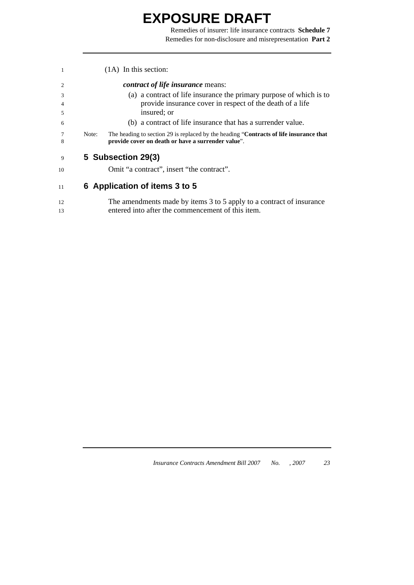Remedies of insurer: life insurance contracts **Schedule 7** Remedies for non-disclosure and misrepresentation **Part 2** 

| -1             |       | $(1A)$ In this section:                                                                                                                      |
|----------------|-------|----------------------------------------------------------------------------------------------------------------------------------------------|
| $\mathcal{D}$  |       | <i>contract of life insurance means:</i>                                                                                                     |
| 3              |       | (a) a contract of life insurance the primary purpose of which is to                                                                          |
| $\overline{4}$ |       | provide insurance cover in respect of the death of a life                                                                                    |
| 5              |       | insured; or                                                                                                                                  |
| 6              |       | (b) a contract of life insurance that has a surrender value.                                                                                 |
| 7<br>8         | Note: | The heading to section 29 is replaced by the heading "Contracts of life insurance that<br>provide cover on death or have a surrender value". |
| 9              |       | 5 Subsection 29(3)                                                                                                                           |
| 10             |       | Omit "a contract", insert "the contract".                                                                                                    |
| 11             |       | 6 Application of items 3 to 5                                                                                                                |

12 13 The amendments made by items 3 to 5 apply to a contract of insurance entered into after the commencement of this item.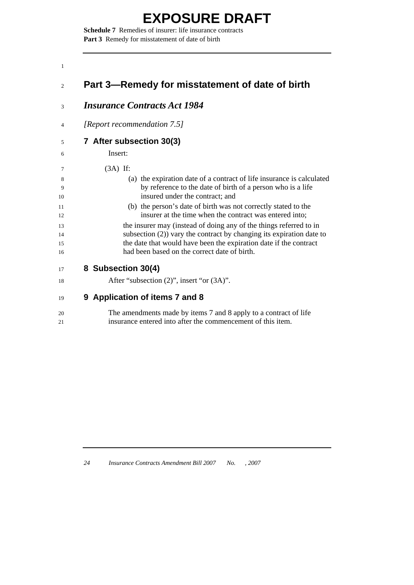**Schedule 7** Remedies of insurer: life insurance contracts **Part 3** Remedy for misstatement of date of birth

<span id="page-29-0"></span>

| 1              |                                                                                                                   |
|----------------|-------------------------------------------------------------------------------------------------------------------|
| $\overline{c}$ | Part 3—Remedy for misstatement of date of birth                                                                   |
| 3              | <b>Insurance Contracts Act 1984</b>                                                                               |
| 4              | [Report recommendation 7.5]                                                                                       |
| 5              | 7 After subsection 30(3)                                                                                          |
| 6              | Insert:                                                                                                           |
| 7              | $(3A)$ If:                                                                                                        |
| 8              | (a) the expiration date of a contract of life insurance is calculated                                             |
| 9<br>10        | by reference to the date of birth of a person who is a life<br>insured under the contract; and                    |
| 11             | (b) the person's date of birth was not correctly stated to the                                                    |
| 12             | insurer at the time when the contract was entered into;                                                           |
| 13             | the insurer may (instead of doing any of the things referred to in                                                |
| 14             | subsection $(2)$ ) vary the contract by changing its expiration date to                                           |
| 15<br>16       | the date that would have been the expiration date if the contract<br>had been based on the correct date of birth. |
| 17             | 8 Subsection 30(4)                                                                                                |
| 18             | After "subsection $(2)$ ", insert "or $(3A)$ ".                                                                   |
| 19             | 9 Application of items 7 and 8                                                                                    |
| 20             | The amendments made by items 7 and 8 apply to a contract of life                                                  |

insurance entered into after the commencement of this item.

21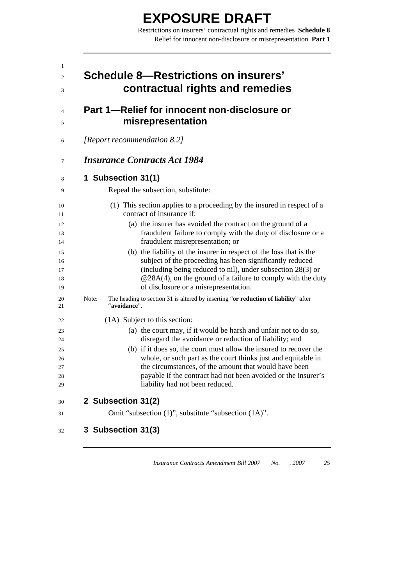Restrictions on insurers' contractual rights and remedies **Schedule 8** Relief for innocent non-disclosure or misrepresentation **Part 1** 

<span id="page-30-0"></span>

|       | <b>Schedule 8-Restrictions on insurers'</b><br>contractual rights and remedies                                                                                                                                                                                                                            |
|-------|-----------------------------------------------------------------------------------------------------------------------------------------------------------------------------------------------------------------------------------------------------------------------------------------------------------|
|       | Part 1-Relief for innocent non-disclosure or<br>misrepresentation                                                                                                                                                                                                                                         |
|       | [Report recommendation 8.2]                                                                                                                                                                                                                                                                               |
|       | <b>Insurance Contracts Act 1984</b>                                                                                                                                                                                                                                                                       |
|       | 1 Subsection 31(1)                                                                                                                                                                                                                                                                                        |
|       | Repeal the subsection, substitute:                                                                                                                                                                                                                                                                        |
|       | (1) This section applies to a proceeding by the insured in respect of a<br>contract of insurance if:                                                                                                                                                                                                      |
|       | (a) the insurer has avoided the contract on the ground of a<br>fraudulent failure to comply with the duty of disclosure or a<br>fraudulent misrepresentation; or                                                                                                                                          |
|       | (b) the liability of the insurer in respect of the loss that is the<br>subject of the proceeding has been significantly reduced<br>(including being reduced to nil), under subsection 28(3) or<br>$@28A(4)$ , on the ground of a failure to comply with the duty<br>of disclosure or a misrepresentation. |
| Note: | The heading to section 31 is altered by inserting "or reduction of liability" after<br>"avoidance".                                                                                                                                                                                                       |
|       | (1A) Subject to this section:                                                                                                                                                                                                                                                                             |
|       | (a) the court may, if it would be harsh and unfair not to do so,<br>disregard the avoidance or reduction of liability; and                                                                                                                                                                                |
|       | (b) if it does so, the court must allow the insured to recover the                                                                                                                                                                                                                                        |
|       | whole, or such part as the court thinks just and equitable in                                                                                                                                                                                                                                             |
|       | the circumstances, of the amount that would have been                                                                                                                                                                                                                                                     |
|       | payable if the contract had not been avoided or the insurer's<br>liability had not been reduced.                                                                                                                                                                                                          |
|       | 2 Subsection 31(2)                                                                                                                                                                                                                                                                                        |
|       | Omit "subsection (1)", substitute "subsection (1A)".                                                                                                                                                                                                                                                      |
|       | 3 Subsection 31(3)                                                                                                                                                                                                                                                                                        |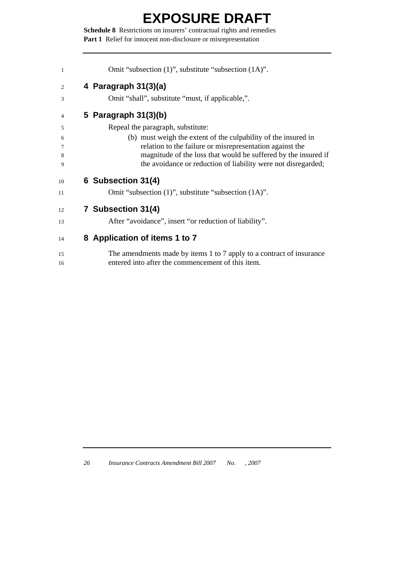**Schedule 8** Restrictions on insurers' contractual rights and remedies **Part 1** Relief for innocent non-disclosure or misrepresentation

| $\mathbf{1}$ | Omit "subsection (1)", substitute "subsection (1A)".                 |
|--------------|----------------------------------------------------------------------|
| 2            | 4 Paragraph 31(3)(a)                                                 |
| 3            | Omit "shall", substitute "must, if applicable,".                     |
| 4            | 5 Paragraph 31(3)(b)                                                 |
| 5            | Repeal the paragraph, substitute:                                    |
| 6            | (b) must weigh the extent of the culpability of the insured in       |
| 7            | relation to the failure or misrepresentation against the             |
| 8            | magnitude of the loss that would be suffered by the insured if       |
| 9            | the avoidance or reduction of liability were not disregarded;        |
| 10           | 6 Subsection 31(4)                                                   |
| 11           | Omit "subsection $(1)$ ", substitute "subsection $(1A)$ ".           |
| 12           | 7 Subsection 31(4)                                                   |
| 13           | After "avoidance", insert "or reduction of liability".               |
|              |                                                                      |
| 14           | 8 Application of items 1 to 7                                        |
| 15           | The amendments made by items 1 to 7 apply to a contract of insurance |

16 entered into after the commencement of this item.

| 26<br>Insurance Contracts Amendment Bill 2007 | No. | . 2007 |
|-----------------------------------------------|-----|--------|
|-----------------------------------------------|-----|--------|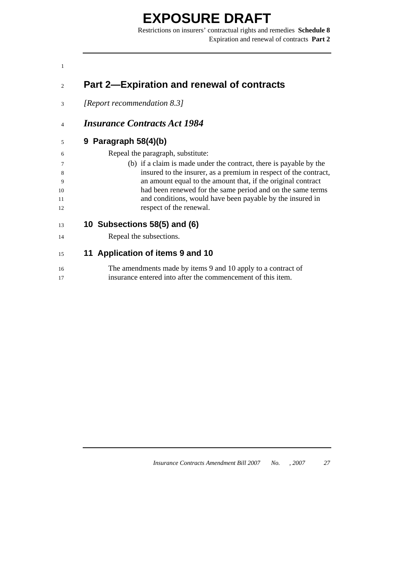Restrictions on insurers' contractual rights and remedies **Schedule 8** Expiration and renewal of contracts **Part 2** 

#### 2 **Part 2—Expiration and renewal of contracts**

3 *[Report recommendation 8.3]* 

#### 4 *Insurance Contracts Act 1984*

#### 5 **9 Paragraph 58(4)(b)**

<span id="page-32-0"></span>1

14

Repeal the paragraph, substitute:

(b) if a claim is made under the contract, there is payable by the insured to the insurer, as a premium in respect of the contract, an amount equal to the amount that, if the original contract had been renewed for the same period and on the same terms and conditions, would have been payable by the insured in respect of the renewal.

#### 13 **10 Subsections 58(5) and (6)**

Repeal the subsections.

#### 15 **11 Application of items 9 and 10**

16 17 The amendments made by items 9 and 10 apply to a contract of insurance entered into after the commencement of this item.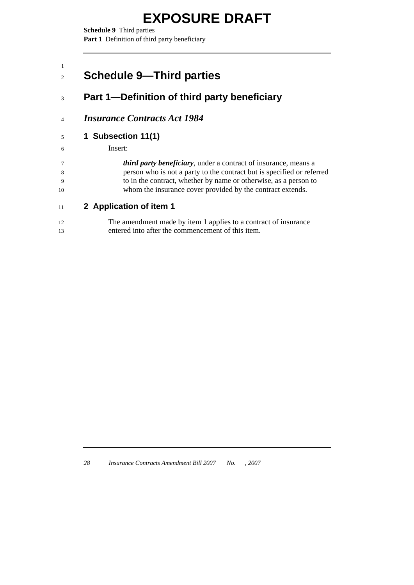<span id="page-33-0"></span>**Schedule 9** Third parties **Part 1** Definition of third party beneficiary

#### 1 2 **Schedule 9—Third parties**

#### 3 **Part 1—Definition of third party beneficiary**

#### 4 *Insurance Contracts Act 1984*

#### 5 **1 Subsection 11(1)**

Insert:

6

|              | <i>third party beneficiary</i> , under a contract of insurance, means a |
|--------------|-------------------------------------------------------------------------|
| - 8          | person who is not a party to the contract but is specified or referred  |
| $\mathbf{Q}$ | to in the contract, whether by name or otherwise, as a person to        |
| 10           | whom the insurance cover provided by the contract extends.              |

#### 11 **2 Application of item 1**

| The amendment made by item 1 applies to a contract of insurance |
|-----------------------------------------------------------------|
| entered into after the commencement of this item.               |

| 28 |  | <i>Insurance Contracts Amendment Bill 2007</i> |  | . 2007 |
|----|--|------------------------------------------------|--|--------|
|    |  |                                                |  |        |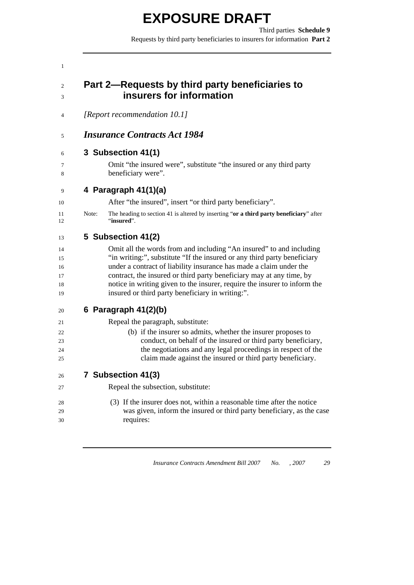<span id="page-34-0"></span>1

2 3

4

5

6 7 8

26 27

 $28$  $29$ 30

Third parties **Schedule 9** Requests by third party beneficiaries to insurers for information **Part 2** 

### **Part 2—Requests by third party beneficiaries to insurers for information**  *[Report recommendation 10.1] Insurance Contracts Act 1984* **3 Subsection 41(1)**  Omit "the insured were", substitute "the insured or any third party beneficiary were". **4 Paragraph 41(1)(a)**  After "the insured", insert "or third party beneficiary". Note: The heading to section 41 is altered by inserting "**or a third party beneficiary**" after "**insured**". **5 Subsection 41(2)**  Omit all the words from and including "An insured" to and including "in writing:", substitute "If the insured or any third party beneficiary under a contract of liability insurance has made a claim under the contract, the insured or third party beneficiary may at any time, by notice in writing given to the insurer, require the insurer to inform the insured or third party beneficiary in writing:". **6 Paragraph 41(2)(b)**  Repeal the paragraph, substitute: (b) if the insurer so admits, whether the insurer proposes to conduct, on behalf of the insured or third party beneficiary, the negotiations and any legal proceedings in respect of the claim made against the insured or third party beneficiary. **7 Subsection 41(3)**  Repeal the subsection, substitute:

 (3) If the insurer does not, within a reasonable time after the notice was given, inform the insured or third party beneficiary, as the case requires: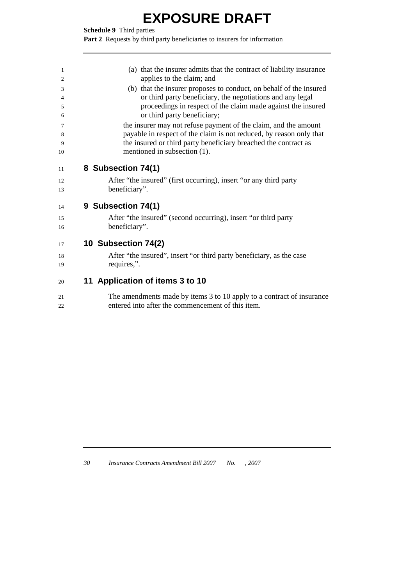**Schedule 9** Third parties

Part 2 Requests by third party beneficiaries to insurers for information

| 1              | (a) that the insurer admits that the contract of liability insurance |
|----------------|----------------------------------------------------------------------|
| 2              | applies to the claim; and                                            |
| 3              | (b) that the insurer proposes to conduct, on behalf of the insured   |
| $\overline{4}$ | or third party beneficiary, the negotiations and any legal           |
| 5              | proceedings in respect of the claim made against the insured         |
| 6              | or third party beneficiary;                                          |
| 7              | the insurer may not refuse payment of the claim, and the amount      |
| 8              | payable in respect of the claim is not reduced, by reason only that  |
| 9              | the insured or third party beneficiary breached the contract as      |
| 10             | mentioned in subsection (1).                                         |
| 11             | 8 Subsection 74(1)                                                   |
| 12             | After "the insured" (first occurring), insert "or any third party    |
| 13             | beneficiary".                                                        |
| 14             | 9 Subsection 74(1)                                                   |
| 15             | After "the insured" (second occurring), insert "or third party       |
| 16             | beneficiary".                                                        |
| 17             | 10 Subsection 74(2)                                                  |
|                |                                                                      |
| 18             | After "the insured", insert "or third party beneficiary, as the case |
| 19             | requires,".                                                          |
| 20             | 11 Application of items 3 to 10                                      |
|                |                                                                      |

21 22 The amendments made by items 3 to 10 apply to a contract of insurance entered into after the commencement of this item.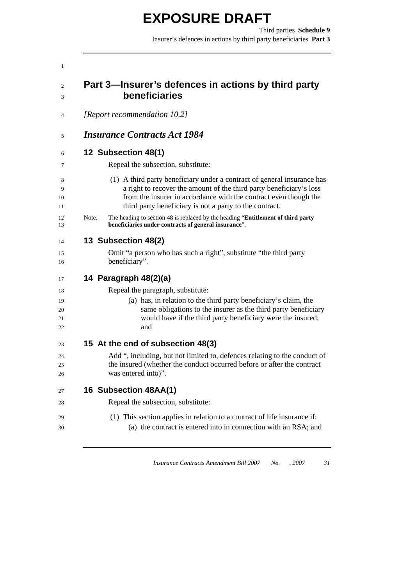<span id="page-36-0"></span>1

Third parties **Schedule 9** Insurer's defences in actions by third party beneficiaries **Part 3** 

|       | Part 3—Insurer's defences in actions by third party<br>beneficiaries                                                                                                                                                                                                          |  |  |  |  |
|-------|-------------------------------------------------------------------------------------------------------------------------------------------------------------------------------------------------------------------------------------------------------------------------------|--|--|--|--|
|       | [Report recommendation 10.2]                                                                                                                                                                                                                                                  |  |  |  |  |
|       | <b>Insurance Contracts Act 1984</b>                                                                                                                                                                                                                                           |  |  |  |  |
|       | 12 Subsection 48(1)                                                                                                                                                                                                                                                           |  |  |  |  |
|       | Repeal the subsection, substitute:                                                                                                                                                                                                                                            |  |  |  |  |
|       | (1) A third party beneficiary under a contract of general insurance has<br>a right to recover the amount of the third party beneficiary's loss<br>from the insurer in accordance with the contract even though the<br>third party beneficiary is not a party to the contract. |  |  |  |  |
| Note: | The heading to section 48 is replaced by the heading "Entitlement of third party<br>beneficiaries under contracts of general insurance".                                                                                                                                      |  |  |  |  |
|       | 13 Subsection 48(2)                                                                                                                                                                                                                                                           |  |  |  |  |
|       | Omit "a person who has such a right", substitute "the third party<br>beneficiary".                                                                                                                                                                                            |  |  |  |  |
|       | 14 Paragraph 48(2)(a)                                                                                                                                                                                                                                                         |  |  |  |  |
|       | Repeal the paragraph, substitute:                                                                                                                                                                                                                                             |  |  |  |  |
|       | (a) has, in relation to the third party beneficiary's claim, the                                                                                                                                                                                                              |  |  |  |  |
|       | same obligations to the insurer as the third party beneficiary                                                                                                                                                                                                                |  |  |  |  |
|       | would have if the third party beneficiary were the insured;<br>and                                                                                                                                                                                                            |  |  |  |  |
|       | 15 At the end of subsection 48(3)                                                                                                                                                                                                                                             |  |  |  |  |
|       | Add ", including, but not limited to, defences relating to the conduct of                                                                                                                                                                                                     |  |  |  |  |
|       | the insured (whether the conduct occurred before or after the contract<br>was entered into)".                                                                                                                                                                                 |  |  |  |  |
|       | 16 Subsection 48AA(1)                                                                                                                                                                                                                                                         |  |  |  |  |
|       | Repeal the subsection, substitute:                                                                                                                                                                                                                                            |  |  |  |  |
|       | (1) This section applies in relation to a contract of life insurance if:<br>(a) the contract is entered into in connection with an RSA; and                                                                                                                                   |  |  |  |  |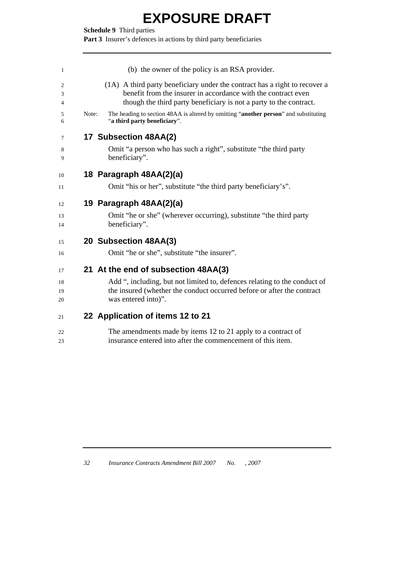**Schedule 9** Third parties

Part 3 Insurer's defences in actions by third party beneficiaries

| 1           |       | (b) the owner of the policy is an RSA provider.                                                                                                                                                                   |
|-------------|-------|-------------------------------------------------------------------------------------------------------------------------------------------------------------------------------------------------------------------|
| 2<br>3<br>4 |       | (1A) A third party beneficiary under the contract has a right to recover a<br>benefit from the insurer in accordance with the contract even<br>though the third party beneficiary is not a party to the contract. |
| 5<br>6      | Note: | The heading to section 48AA is altered by omitting "another person" and substituting<br>"a third party beneficiary".                                                                                              |
| 7           |       | 17 Subsection 48AA(2)                                                                                                                                                                                             |
| 8<br>9      |       | Omit "a person who has such a right", substitute "the third party"<br>beneficiary".                                                                                                                               |
| 10          |       | 18 Paragraph 48AA(2)(a)                                                                                                                                                                                           |
| 11          |       | Omit "his or her", substitute "the third party beneficiary's".                                                                                                                                                    |
| 12          |       | 19 Paragraph 48AA(2)(a)                                                                                                                                                                                           |
| 13<br>14    |       | Omit "he or she" (wherever occurring), substitute "the third party<br>beneficiary".                                                                                                                               |
| 15          |       | 20 Subsection 48AA(3)                                                                                                                                                                                             |
| 16          |       | Omit "he or she", substitute "the insurer".                                                                                                                                                                       |
| 17          |       | 21 At the end of subsection 48AA(3)                                                                                                                                                                               |
| 18          |       | Add ", including, but not limited to, defences relating to the conduct of                                                                                                                                         |
| 19          |       | the insured (whether the conduct occurred before or after the contract                                                                                                                                            |
| 20          |       | was entered into)".                                                                                                                                                                                               |
| 21          |       | 22 Application of items 12 to 21                                                                                                                                                                                  |
| 22          |       | The amendments made by items 12 to 21 apply to a contract of                                                                                                                                                      |
| 23          |       | insurance entered into after the commencement of this item.                                                                                                                                                       |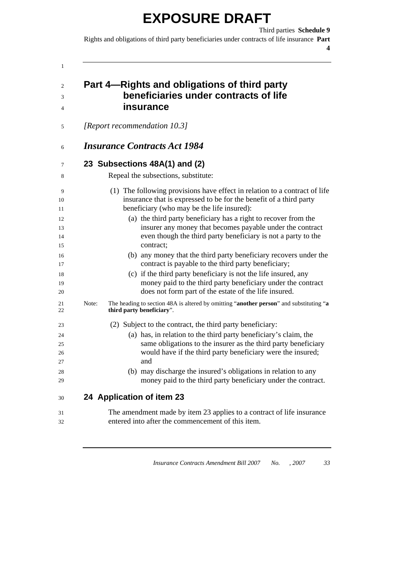Third parties **Schedule 9**

Rights and obligations of third party beneficiaries under contracts of life insurance **Part** 

**4** 

| 2 |  |
|---|--|
| 3 |  |

4

8

23

29

<span id="page-38-0"></span>1

### **Part 4—Rights and obligations of third party beneficiaries under contracts of life insurance**

5 *[Report recommendation 10.3]* 

|  |  | <b>Insurance Contracts Act 1984</b> |  |  |
|--|--|-------------------------------------|--|--|
|--|--|-------------------------------------|--|--|

#### 7 **23 Subsections 48A(1) and (2)**

Repeal the subsections, substitute:

- (1) The following provisions have effect in relation to a contract of life insurance that is expressed to be for the benefit of a third party beneficiary (who may be the life insured):
	- (a) the third party beneficiary has a right to recover from the insurer any money that becomes payable under the contract even though the third party beneficiary is not a party to the contract;
	- (b) any money that the third party beneficiary recovers under the contract is payable to the third party beneficiary;
	- (c) if the third party beneficiary is not the life insured, any money paid to the third party beneficiary under the contract does not form part of the estate of the life insured.
- $21$ 22 Note: The heading to section 48A is altered by omitting "**another person**" and substituting "**a third party beneficiary**".
	- (2) Subject to the contract, the third party beneficiary:
- 24  $25$ 26 27 28 (a) has, in relation to the third party beneficiary's claim, the same obligations to the insurer as the third party beneficiary would have if the third party beneficiary were the insured; and
	- (b) may discharge the insured's obligations in relation to any money paid to the third party beneficiary under the contract.
- 30 **24 Application of item 23**
- 31 32 The amendment made by item 23 applies to a contract of life insurance entered into after the commencement of this item.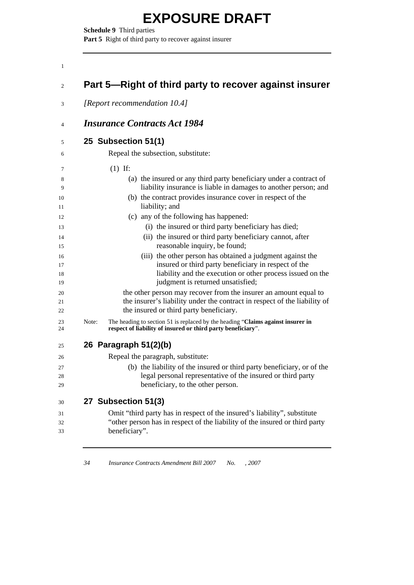<span id="page-39-0"></span>**Schedule 9** Third parties Part 5 Right of third party to recover against insurer

|       | [Report recommendation 10.4]                                                                                                                                                                                          |
|-------|-----------------------------------------------------------------------------------------------------------------------------------------------------------------------------------------------------------------------|
|       | <b>Insurance Contracts Act 1984</b>                                                                                                                                                                                   |
|       | 25 Subsection 51(1)                                                                                                                                                                                                   |
|       | Repeal the subsection, substitute:                                                                                                                                                                                    |
|       | $(1)$ If:                                                                                                                                                                                                             |
|       | (a) the insured or any third party beneficiary under a contract of<br>liability insurance is liable in damages to another person; and                                                                                 |
|       | (b) the contract provides insurance cover in respect of the<br>liability; and                                                                                                                                         |
|       | (c) any of the following has happened:                                                                                                                                                                                |
|       | (i) the insured or third party beneficiary has died;                                                                                                                                                                  |
|       | (ii) the insured or third party beneficiary cannot, after<br>reasonable inquiry, be found;                                                                                                                            |
|       | (iii) the other person has obtained a judgment against the<br>insured or third party beneficiary in respect of the<br>liability and the execution or other process issued on the<br>judgment is returned unsatisfied; |
|       | the other person may recover from the insurer an amount equal to<br>the insurer's liability under the contract in respect of the liability of<br>the insured or third party beneficiary.                              |
| Note: | The heading to section 51 is replaced by the heading "Claims against insurer in<br>respect of liability of insured or third party beneficiary".                                                                       |
|       | 26 Paragraph 51(2)(b)                                                                                                                                                                                                 |
|       | Repeal the paragraph, substitute:                                                                                                                                                                                     |
|       | (b) the liability of the insured or third party beneficiary, or of the                                                                                                                                                |
|       | legal personal representative of the insured or third party<br>beneficiary, to the other person.                                                                                                                      |
|       | 27 Subsection 51(3)                                                                                                                                                                                                   |
|       | Omit "third party has in respect of the insured's liability", substitute                                                                                                                                              |
|       | "other person has in respect of the liability of the insured or third party<br>beneficiary".                                                                                                                          |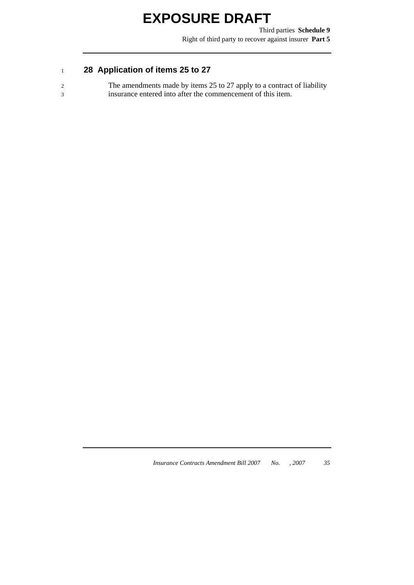Third parties **Schedule 9** Right of third party to recover against insurer **Part 5** 

### <sup>1</sup>**28 Application of items 25 to 27**

2 3 The amendments made by items 25 to 27 apply to a contract of liability insurance entered into after the commencement of this item.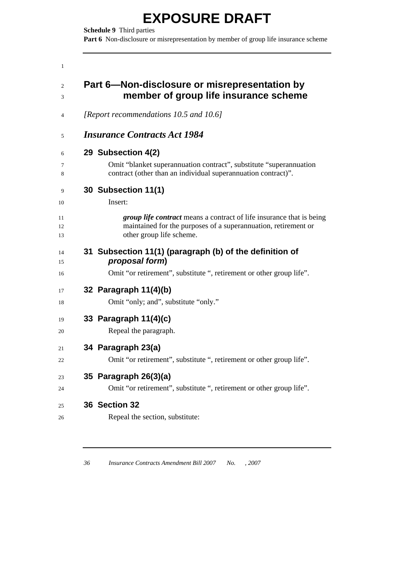**Schedule 9** Third parties

**Part 6** Non-disclosure or misrepresentation by member of group life insurance scheme

<span id="page-41-0"></span>

| [Report recommendations 10.5 and 10.6]                                                                                              |
|-------------------------------------------------------------------------------------------------------------------------------------|
| <b>Insurance Contracts Act 1984</b>                                                                                                 |
| 29 Subsection 4(2)                                                                                                                  |
| Omit "blanket superannuation contract", substitute "superannuation<br>contract (other than an individual superannuation contract)". |
| 30 Subsection 11(1)                                                                                                                 |
| Insert:                                                                                                                             |
| group life contract means a contract of life insurance that is being                                                                |
| maintained for the purposes of a superannuation, retirement or<br>other group life scheme.                                          |
| 31 Subsection 11(1) (paragraph (b) of the definition of<br>proposal form)                                                           |
| Omit "or retirement", substitute ", retirement or other group life".                                                                |
| 32 Paragraph 11(4)(b)                                                                                                               |
| Omit "only; and", substitute "only."                                                                                                |
| 33 Paragraph 11(4)(c)                                                                                                               |
| Repeal the paragraph.                                                                                                               |
| 34 Paragraph 23(a)                                                                                                                  |
| Omit "or retirement", substitute ", retirement or other group life".                                                                |
| 35 Paragraph 26(3)(a)                                                                                                               |
| Omit "or retirement", substitute ", retirement or other group life".                                                                |
| 36 Section 32                                                                                                                       |
| Repeal the section, substitute:                                                                                                     |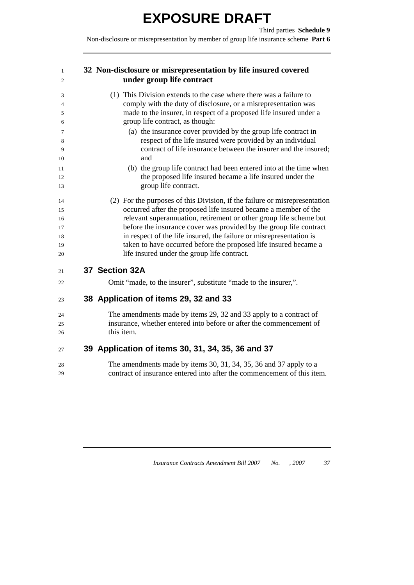Non-disclosure or misrepresentation by member of group life insurance scheme **Part 6** 

### **32 Non-disclosure or misrepresentation by life insured covered under group life contract**

1 2

| 3              | (1) This Division extends to the case where there was a failure to                                                                            |
|----------------|-----------------------------------------------------------------------------------------------------------------------------------------------|
| $\overline{4}$ | comply with the duty of disclosure, or a misrepresentation was                                                                                |
| 5              | made to the insurer, in respect of a proposed life insured under a                                                                            |
| 6              | group life contract, as though:                                                                                                               |
| $\tau$         | (a) the insurance cover provided by the group life contract in                                                                                |
| 8              | respect of the life insured were provided by an individual                                                                                    |
| 9              | contract of life insurance between the insurer and the insured;                                                                               |
| 10             | and                                                                                                                                           |
| 11             | (b) the group life contract had been entered into at the time when                                                                            |
| 12             | the proposed life insured became a life insured under the                                                                                     |
| 13             | group life contract.                                                                                                                          |
|                |                                                                                                                                               |
| 14             | (2) For the purposes of this Division, if the failure or misrepresentation<br>occurred after the proposed life insured became a member of the |
| 15<br>16       | relevant superannuation, retirement or other group life scheme but                                                                            |
| 17             | before the insurance cover was provided by the group life contract                                                                            |
| 18             | in respect of the life insured, the failure or misrepresentation is                                                                           |
| 19             | taken to have occurred before the proposed life insured became a                                                                              |
| 20             | life insured under the group life contract.                                                                                                   |
|                |                                                                                                                                               |
| 21             | 37 Section 32A                                                                                                                                |
| 22             | Omit "made, to the insurer", substitute "made to the insurer,".                                                                               |
| 23             | 38 Application of items 29, 32 and 33                                                                                                         |
|                |                                                                                                                                               |
| 24             | The amendments made by items 29, 32 and 33 apply to a contract of                                                                             |
| 25             | insurance, whether entered into before or after the commencement of                                                                           |
| 26             | this item.                                                                                                                                    |

#### 27 **39 Application of items 30, 31, 34, 35, 36 and 37**

28 29 The amendments made by items 30, 31, 34, 35, 36 and 37 apply to a contract of insurance entered into after the commencement of this item.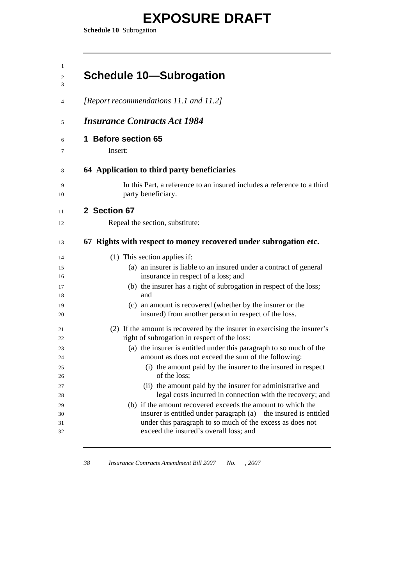**Schedule 10** Subrogation

<span id="page-43-0"></span>

| $\mathbf{1}$<br>2<br>3 | <b>Schedule 10-Subrogation</b>                                                                                            |
|------------------------|---------------------------------------------------------------------------------------------------------------------------|
| 4                      | [Report recommendations 11.1 and 11.2]                                                                                    |
| 5                      | <b>Insurance Contracts Act 1984</b>                                                                                       |
| 6<br>7                 | 1 Before section 65<br>Insert:                                                                                            |
| 8                      | 64 Application to third party beneficiaries                                                                               |
| 9<br>10                | In this Part, a reference to an insured includes a reference to a third<br>party beneficiary.                             |
| 11                     | 2 Section 67                                                                                                              |
| 12                     | Repeal the section, substitute:                                                                                           |
| 13                     | 67 Rights with respect to money recovered under subrogation etc.                                                          |
| 14                     | (1) This section applies if:                                                                                              |
| 15                     | (a) an insurer is liable to an insured under a contract of general                                                        |
| 16                     | insurance in respect of a loss; and                                                                                       |
| 17<br>18               | (b) the insurer has a right of subrogation in respect of the loss;<br>and                                                 |
| 19                     | (c) an amount is recovered (whether by the insurer or the                                                                 |
| 20                     | insured) from another person in respect of the loss.                                                                      |
| 21                     | (2) If the amount is recovered by the insurer in exercising the insurer's                                                 |
| 22                     | right of subrogation in respect of the loss:                                                                              |
| 23                     | (a) the insurer is entitled under this paragraph to so much of the<br>amount as does not exceed the sum of the following: |
| 24<br>25               | (i) the amount paid by the insurer to the insured in respect                                                              |
| 26                     | of the loss;                                                                                                              |
| 27                     | (ii) the amount paid by the insurer for administrative and                                                                |
| 28                     | legal costs incurred in connection with the recovery; and                                                                 |
| 29                     | (b) if the amount recovered exceeds the amount to which the                                                               |
| 30                     | insurer is entitled under paragraph (a)—the insured is entitled                                                           |
| 31<br>32               | under this paragraph to so much of the excess as does not<br>exceed the insured's overall loss; and                       |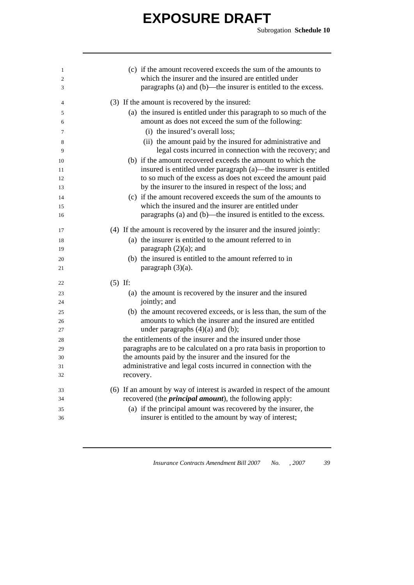| 1<br>$\overline{2}$<br>3 | (c) if the amount recovered exceeds the sum of the amounts to<br>which the insurer and the insured are entitled under<br>paragraphs (a) and (b)—the insurer is entitled to the excess. |
|--------------------------|----------------------------------------------------------------------------------------------------------------------------------------------------------------------------------------|
| 4                        | (3) If the amount is recovered by the insured:                                                                                                                                         |
| 5                        | (a) the insured is entitled under this paragraph to so much of the                                                                                                                     |
| 6                        | amount as does not exceed the sum of the following:                                                                                                                                    |
| 7                        | (i) the insured's overall loss;                                                                                                                                                        |
| 8                        | (ii) the amount paid by the insured for administrative and                                                                                                                             |
| 9                        | legal costs incurred in connection with the recovery; and                                                                                                                              |
| 10                       | (b) if the amount recovered exceeds the amount to which the                                                                                                                            |
| 11                       | insured is entitled under paragraph (a)—the insurer is entitled                                                                                                                        |
| 12                       | to so much of the excess as does not exceed the amount paid                                                                                                                            |
| 13                       | by the insurer to the insured in respect of the loss; and                                                                                                                              |
| 14                       | (c) if the amount recovered exceeds the sum of the amounts to                                                                                                                          |
| 15                       | which the insured and the insurer are entitled under                                                                                                                                   |
| 16                       | paragraphs (a) and (b)—the insured is entitled to the excess.                                                                                                                          |
| 17                       | (4) If the amount is recovered by the insurer and the insured jointly:                                                                                                                 |
| 18                       | (a) the insurer is entitled to the amount referred to in                                                                                                                               |
| 19                       | paragraph $(2)(a)$ ; and                                                                                                                                                               |
| 20                       | (b) the insured is entitled to the amount referred to in                                                                                                                               |
| 21                       | paragraph $(3)(a)$ .                                                                                                                                                                   |
| 22                       | $(5)$ If:                                                                                                                                                                              |
| 23                       | (a) the amount is recovered by the insurer and the insured                                                                                                                             |
| 24                       | jointly; and                                                                                                                                                                           |
| 25                       | (b) the amount recovered exceeds, or is less than, the sum of the                                                                                                                      |
| 26                       | amounts to which the insurer and the insured are entitled                                                                                                                              |
| 27                       | under paragraphs $(4)(a)$ and $(b)$ ;                                                                                                                                                  |
| 28                       | the entitlements of the insurer and the insured under those                                                                                                                            |
| 29                       | paragraphs are to be calculated on a pro rata basis in proportion to                                                                                                                   |
| 30                       | the amounts paid by the insurer and the insured for the                                                                                                                                |
| 31<br>32                 | administrative and legal costs incurred in connection with the<br>recovery.                                                                                                            |
|                          |                                                                                                                                                                                        |
| 33                       | (6) If an amount by way of interest is awarded in respect of the amount                                                                                                                |
| 34                       | recovered (the <i>principal amount</i> ), the following apply:                                                                                                                         |
| 35                       | (a) if the principal amount was recovered by the insurer, the                                                                                                                          |
| 36                       | insurer is entitled to the amount by way of interest;                                                                                                                                  |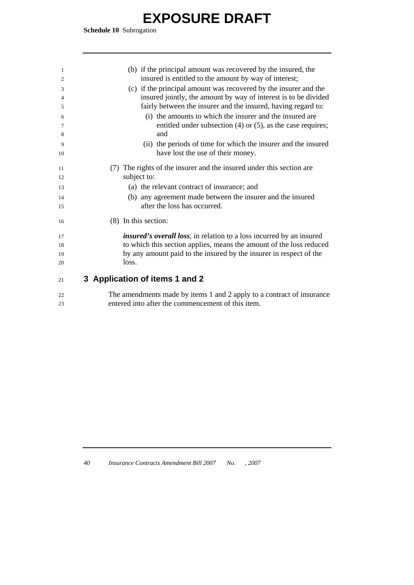**Schedule 10** Subrogation

| 1  | (b) if the principal amount was recovered by the insured, the                |
|----|------------------------------------------------------------------------------|
| 2  | insured is entitled to the amount by way of interest;                        |
| 3  | (c) if the principal amount was recovered by the insurer and the             |
| 4  | insured jointly, the amount by way of interest is to be divided              |
| 5  | fairly between the insurer and the insured, having regard to:                |
| 6  | (i) the amounts to which the insurer and the insured are                     |
| 7  | entitled under subsection $(4)$ or $(5)$ , as the case requires;             |
| 8  | and                                                                          |
| 9  | (ii) the periods of time for which the insurer and the insured               |
| 10 | have lost the use of their money.                                            |
| 11 | (7) The rights of the insurer and the insured under this section are         |
| 12 | subject to:                                                                  |
| 13 | (a) the relevant contract of insurance; and                                  |
| 14 | (b) any agreement made between the insurer and the insured                   |
|    | after the loss has occurred.                                                 |
| 15 |                                                                              |
| 16 | (8) In this section:                                                         |
| 17 | <i>insured's overall loss</i> , in relation to a loss incurred by an insured |
| 18 | to which this section applies, means the amount of the loss reduced          |
| 19 | by any amount paid to the insured by the insurer in respect of the           |
| 20 | loss.                                                                        |
| 21 | 3 Application of items 1 and 2                                               |
| 22 | The amendments made by items 1 and 2 apply to a contract of insurance        |

23 entered into after the commencement of this item.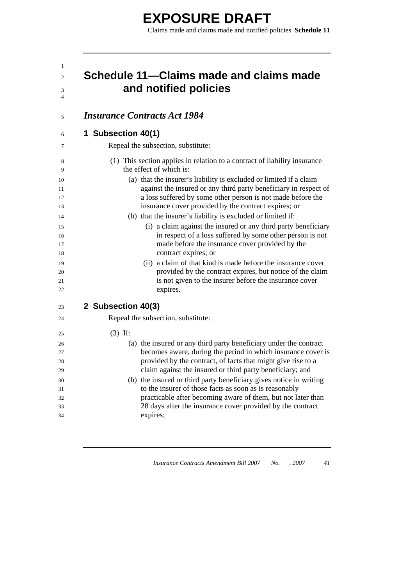### <span id="page-46-0"></span>**Schedule 11—Claims made and claims made and notified policies**

#### 5 *Insurance Contracts Act 1984*

#### 6 **1 Subsection 40(1)**

7

Repeal the subsection, substitute:

- (1) This section applies in relation to a contract of liability insurance the effect of which is:
	- (a) that the insurer's liability is excluded or limited if a claim against the insured or any third party beneficiary in respect of a loss suffered by some other person is not made before the insurance cover provided by the contract expires; or
	- (b) that the insurer's liability is excluded or limited if:
	- (i) a claim against the insured or any third party beneficiary in respect of a loss suffered by some other person is not made before the insurance cover provided by the contract expires; or
		- (ii) a claim of that kind is made before the insurance cover provided by the contract expires, but notice of the claim is not given to the insurer before the insurance cover expires.
- $23$ **2 Subsection 40(3)**

| 24 | Repeal the subsection, substitute:                                 |  |
|----|--------------------------------------------------------------------|--|
| 25 | $(3)$ If:                                                          |  |
| 26 | (a) the insured or any third party beneficiary under the contract  |  |
| 27 | becomes aware, during the period in which insurance cover is       |  |
| 28 | provided by the contract, of facts that might give rise to a       |  |
| 29 | claim against the insured or third party beneficiary; and          |  |
| 30 | (b) the insured or third party beneficiary gives notice in writing |  |
| 31 | to the insurer of those facts as soon as is reasonably             |  |
| 32 | practicable after becoming aware of them, but not later than       |  |
| 33 | 28 days after the insurance cover provided by the contract         |  |
| 34 | expires;                                                           |  |
|    |                                                                    |  |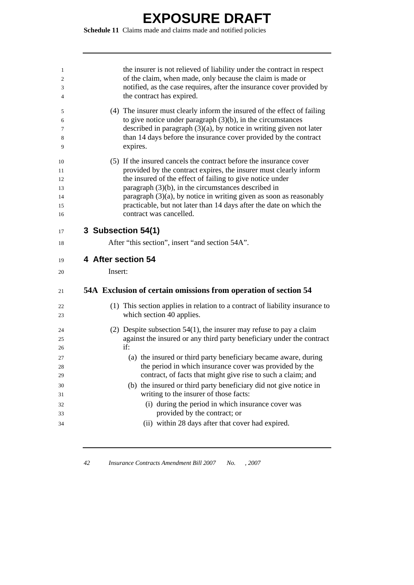**Schedule 11** Claims made and claims made and notified policies

| 1  | the insurer is not relieved of liability under the contract in respect                         |
|----|------------------------------------------------------------------------------------------------|
| 2  | of the claim, when made, only because the claim is made or                                     |
| 3  | notified, as the case requires, after the insurance cover provided by                          |
| 4  | the contract has expired.                                                                      |
| 5  | (4) The insurer must clearly inform the insured of the effect of failing                       |
| 6  | to give notice under paragraph $(3)(b)$ , in the circumstances                                 |
| 7  | described in paragraph $(3)(a)$ , by notice in writing given not later                         |
| 8  | than 14 days before the insurance cover provided by the contract                               |
| 9  | expires.                                                                                       |
| 10 | (5) If the insured cancels the contract before the insurance cover                             |
| 11 | provided by the contract expires, the insurer must clearly inform                              |
| 12 | the insured of the effect of failing to give notice under                                      |
| 13 | paragraph $(3)(b)$ , in the circumstances described in                                         |
| 14 | paragraph $(3)(a)$ , by notice in writing given as soon as reasonably                          |
| 15 | practicable, but not later than 14 days after the date on which the<br>contract was cancelled. |
| 16 |                                                                                                |
| 17 | 3 Subsection 54(1)                                                                             |
| 18 | After "this section", insert "and section 54A".                                                |
| 19 | 4 After section 54                                                                             |
| 20 | Insert:                                                                                        |
|    |                                                                                                |
| 21 | 54A Exclusion of certain omissions from operation of section 54                                |
| 22 | (1) This section applies in relation to a contract of liability insurance to                   |
| 23 | which section 40 applies.                                                                      |
| 24 | (2) Despite subsection $54(1)$ , the insurer may refuse to pay a claim                         |
| 25 | against the insured or any third party beneficiary under the contract                          |
| 26 | if:                                                                                            |
| 27 | (a) the insured or third party beneficiary became aware, during                                |
| 28 | the period in which insurance cover was provided by the                                        |
| 29 | contract, of facts that might give rise to such a claim; and                                   |
|    | (b) the insured or third party beneficiary did not give notice in                              |
| 30 |                                                                                                |
| 31 | writing to the insurer of those facts:                                                         |
| 32 | (i) during the period in which insurance cover was                                             |
| 33 | provided by the contract; or                                                                   |
| 34 | (ii) within 28 days after that cover had expired.                                              |